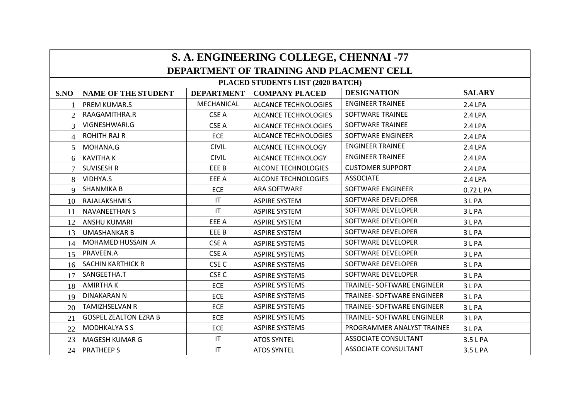| S. A. ENGINEERING COLLEGE, CHENNAI -77 |                              |                        |                                          |                                   |               |  |  |
|----------------------------------------|------------------------------|------------------------|------------------------------------------|-----------------------------------|---------------|--|--|
|                                        |                              |                        | DEPARTMENT OF TRAINING AND PLACMENT CELL |                                   |               |  |  |
|                                        |                              |                        | PLACED STUDENTS LIST (2020 BATCH)        |                                   |               |  |  |
| S.NO                                   | <b>NAME OF THE STUDENT</b>   | <b>DEPARTMENT</b>      | <b>COMPANY PLACED</b>                    | <b>DESIGNATION</b>                | <b>SALARY</b> |  |  |
|                                        | <b>PREM KUMAR.S</b>          | MECHANICAL             | <b>ALCANCE TECHNOLOGIES</b>              | <b>ENGINEER TRAINEE</b>           | 2.4 LPA       |  |  |
| $\overline{2}$                         | RAAGAMITHRA.R                | CSE A                  | <b>ALCANCE TECHNOLOGIES</b>              | SOFTWARE TRAINEE                  | 2.4 LPA       |  |  |
| 3                                      | VIGNESHWARI.G                | CSE A                  | <b>ALCANCE TECHNOLOGIES</b>              | <b>SOFTWARE TRAINEE</b>           | 2.4 LPA       |  |  |
| $\overline{4}$                         | <b>ROHITH RAJ R</b>          | <b>ECE</b>             | <b>ALCANCE TECHNOLOGIES</b>              | SOFTWARE ENGINEER                 | 2.4 LPA       |  |  |
| 5                                      | MOHANA.G                     | <b>CIVIL</b>           | <b>ALCANCE TECHNOLOGY</b>                | <b>ENGINEER TRAINEE</b>           | 2.4 LPA       |  |  |
| 6                                      | <b>KAVITHAK</b>              | <b>CIVIL</b>           | ALCANCE TECHNOLOGY                       | <b>ENGINEER TRAINEE</b>           | 2.4 LPA       |  |  |
| $\overline{7}$                         | <b>SUVISESH R</b>            | EEE B                  | <b>ALCONE TECHNOLOGIES</b>               | <b>CUSTOMER SUPPORT</b>           | 2.4 LPA       |  |  |
| 8                                      | VIDHYA.S                     | EEE A                  | ALCONE TECHNOLOGIES                      | <b>ASSOCIATE</b>                  | 2.4 LPA       |  |  |
| 9                                      | <b>SHANMIKA B</b>            | <b>ECE</b>             | ARA SOFTWARE                             | SOFTWARE ENGINEER                 | 0.72 L PA     |  |  |
| 10                                     | <b>RAJALAKSHMI S</b>         | IT                     | <b>ASPIRE SYSTEM</b>                     | SOFTWARE DEVELOPER                | 3LPA          |  |  |
| 11                                     | <b>NAVANEETHAN S</b>         | IT                     | <b>ASPIRE SYSTEM</b>                     | SOFTWARE DEVELOPER                | 3 L PA        |  |  |
| 12                                     | <b>ANSHU KUMARI</b>          | EEE A                  | <b>ASPIRE SYSTEM</b>                     | SOFTWARE DEVELOPER                | 3LPA          |  |  |
| 13                                     | <b>UMASHANKAR B</b>          | EEE B                  | <b>ASPIRE SYSTEM</b>                     | SOFTWARE DEVELOPER                | 3LPA          |  |  |
| 14                                     | MOHAMED HUSSAIN .A           | CSE A                  | <b>ASPIRE SYSTEMS</b>                    | SOFTWARE DEVELOPER                | 3 L PA        |  |  |
| 15                                     | PRAVEEN.A                    | CSE A                  | <b>ASPIRE SYSTEMS</b>                    | SOFTWARE DEVELOPER                | 3LPA          |  |  |
| 16                                     | <b>SACHIN KARTHICK R</b>     | CSE <sub>C</sub>       | <b>ASPIRE SYSTEMS</b>                    | SOFTWARE DEVELOPER                | 3LPA          |  |  |
| 17                                     | SANGEETHA.T                  | CSE <sub>C</sub>       | <b>ASPIRE SYSTEMS</b>                    | SOFTWARE DEVELOPER                | 3 L PA        |  |  |
| 18                                     | <b>AMIRTHAK</b>              | <b>ECE</b>             | <b>ASPIRE SYSTEMS</b>                    | <b>TRAINEE- SOFTWARE ENGINEER</b> | 3LPA          |  |  |
| 19                                     | <b>DINAKARAN N</b>           | <b>ECE</b>             | <b>ASPIRE SYSTEMS</b>                    | TRAINEE- SOFTWARE ENGINEER        | 3 L PA        |  |  |
| 20                                     | <b>TAMIZHSELVAN R</b>        | <b>ECE</b>             | <b>ASPIRE SYSTEMS</b>                    | TRAINEE- SOFTWARE ENGINEER        | 3LPA          |  |  |
| 21                                     | <b>GOSPEL ZEALTON EZRA B</b> | <b>ECE</b>             | <b>ASPIRE SYSTEMS</b>                    | <b>TRAINEE- SOFTWARE ENGINEER</b> | 3 L PA        |  |  |
| 22                                     | <b>MODHKALYASS</b>           | <b>ECE</b>             | <b>ASPIRE SYSTEMS</b>                    | PROGRAMMER ANALYST TRAINEE        | 3 L PA        |  |  |
| 23                                     | MAGESH KUMAR G               | $\mathsf{I}\mathsf{T}$ | <b>ATOS SYNTEL</b>                       | <b>ASSOCIATE CONSULTANT</b>       | 3.5 L PA      |  |  |
| 24                                     | <b>PRATHEEPS</b>             | $\mathsf{I}\mathsf{T}$ | <b>ATOS SYNTEL</b>                       | <b>ASSOCIATE CONSULTANT</b>       | 3.5 L PA      |  |  |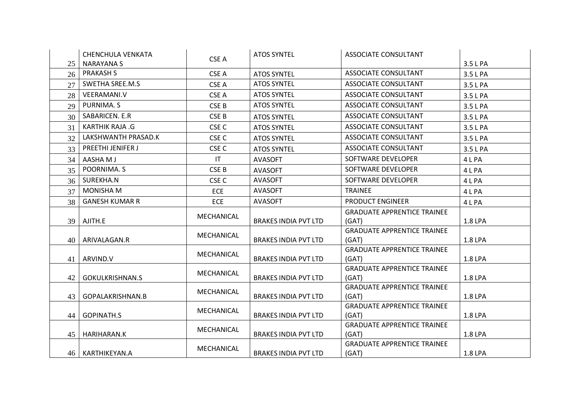|    | CHENCHULA VENKATA        |                        | <b>ATOS SYNTEL</b>          | <b>ASSOCIATE CONSULTANT</b>                 |                |
|----|--------------------------|------------------------|-----------------------------|---------------------------------------------|----------------|
| 25 | NARAYANA S               | CSE A                  |                             |                                             | 3.5 L PA       |
| 26 | <b>PRAKASH S</b>         | CSE A                  | <b>ATOS SYNTEL</b>          | <b>ASSOCIATE CONSULTANT</b>                 | 3.5 L PA       |
| 27 | SWETHA SREE.M.S          | CSE A                  | <b>ATOS SYNTEL</b>          | <b>ASSOCIATE CONSULTANT</b>                 | 3.5 L PA       |
| 28 | VEERAMANI.V              | CSE A                  | <b>ATOS SYNTEL</b>          | <b>ASSOCIATE CONSULTANT</b>                 | 3.5 L PA       |
| 29 | PURNIMA. S               | CSE B                  | <b>ATOS SYNTEL</b>          | <b>ASSOCIATE CONSULTANT</b>                 | 3.5 L PA       |
| 30 | SABARICEN. E.R           | CSE <sub>B</sub>       | <b>ATOS SYNTEL</b>          | <b>ASSOCIATE CONSULTANT</b>                 | 3.5 L PA       |
| 31 | <b>KARTHIK RAJA .G</b>   | CSE <sub>C</sub>       | <b>ATOS SYNTEL</b>          | <b>ASSOCIATE CONSULTANT</b>                 | 3.5 L PA       |
| 32 | LAKSHWANTH PRASAD.K      | CSE <sub>C</sub>       | <b>ATOS SYNTEL</b>          | <b>ASSOCIATE CONSULTANT</b>                 | 3.5 L PA       |
| 33 | <b>PREETHI JENIFER J</b> | CSE <sub>C</sub>       | <b>ATOS SYNTEL</b>          | <b>ASSOCIATE CONSULTANT</b>                 | 3.5 L PA       |
| 34 | AASHA M J                | $\mathsf{I}\mathsf{T}$ | <b>AVASOFT</b>              | SOFTWARE DEVELOPER                          | 4 L PA         |
| 35 | POORNIMA. S              | CSE B                  | <b>AVASOFT</b>              | SOFTWARE DEVELOPER                          | 4 L PA         |
| 36 | SUREKHA.N                | CSE <sub>C</sub>       | <b>AVASOFT</b>              | SOFTWARE DEVELOPER                          | 4 L PA         |
| 37 | <b>MONISHA M</b>         | <b>ECE</b>             | <b>AVASOFT</b>              | <b>TRAINEE</b>                              | 4 L PA         |
| 38 | <b>GANESH KUMAR R</b>    | <b>ECE</b>             | <b>AVASOFT</b>              | <b>PRODUCT ENGINEER</b>                     | 4 L PA         |
|    |                          | MECHANICAL             |                             | <b>GRADUATE APPRENTICE TRAINEE</b>          |                |
| 39 | AJITH.E                  |                        | <b>BRAKES INDIA PVT LTD</b> | (GAT)                                       | <b>1.8 LPA</b> |
|    |                          | MECHANICAL             |                             | <b>GRADUATE APPRENTICE TRAINEE</b>          |                |
| 40 | ARIVALAGAN.R             |                        | <b>BRAKES INDIA PVT LTD</b> | (GAT)                                       | 1.8 LPA        |
|    |                          | MECHANICAL             |                             | <b>GRADUATE APPRENTICE TRAINEE</b>          |                |
| 41 | ARVIND.V                 |                        | <b>BRAKES INDIA PVT LTD</b> | (GAT)<br><b>GRADUATE APPRENTICE TRAINEE</b> | 1.8 LPA        |
| 42 | GOKULKRISHNAN.S          | MECHANICAL             | <b>BRAKES INDIA PVT LTD</b> | (GAT)                                       | 1.8 LPA        |
|    |                          |                        |                             | <b>GRADUATE APPRENTICE TRAINEE</b>          |                |
| 43 | GOPALAKRISHNAN.B         | MECHANICAL             | <b>BRAKES INDIA PVT LTD</b> | (GAT)                                       | 1.8 LPA        |
|    |                          |                        |                             | <b>GRADUATE APPRENTICE TRAINEE</b>          |                |
| 44 | <b>GOPINATH.S</b>        | MECHANICAL             | <b>BRAKES INDIA PVT LTD</b> | (GAT)                                       | 1.8 LPA        |
|    |                          | MECHANICAL             |                             | <b>GRADUATE APPRENTICE TRAINEE</b>          |                |
| 45 | HARIHARAN.K              |                        | <b>BRAKES INDIA PVT LTD</b> | (GAT)                                       | 1.8 LPA        |
|    |                          | MECHANICAL             |                             | <b>GRADUATE APPRENTICE TRAINEE</b>          |                |
|    | 46   KARTHIKEYAN.A       |                        | <b>BRAKES INDIA PVT LTD</b> | (GAT)                                       | 1.8 LPA        |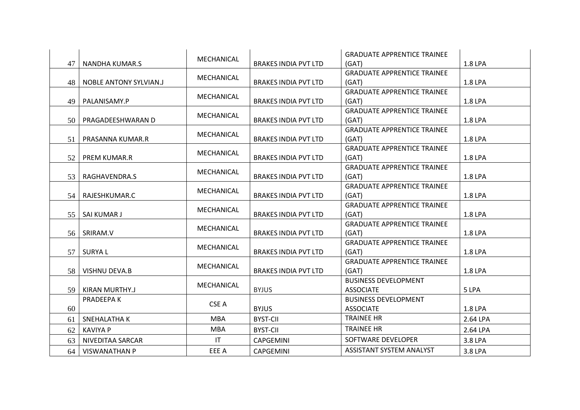|    |                               |            |                             | <b>GRADUATE APPRENTICE TRAINEE</b> |          |
|----|-------------------------------|------------|-----------------------------|------------------------------------|----------|
|    | 47   NANDHA KUMAR.S           | MECHANICAL | <b>BRAKES INDIA PVT LTD</b> | (GAT)                              | 1.8 LPA  |
|    |                               | MECHANICAL |                             | <b>GRADUATE APPRENTICE TRAINEE</b> |          |
| 48 | <b>NOBLE ANTONY SYLVIAN.J</b> |            | <b>BRAKES INDIA PVT LTD</b> | (GAT)                              | 1.8 LPA  |
|    |                               | MECHANICAL |                             | <b>GRADUATE APPRENTICE TRAINEE</b> |          |
| 49 | PALANISAMY.P                  |            | <b>BRAKES INDIA PVT LTD</b> | (GAT)                              | 1.8 LPA  |
|    |                               | MECHANICAL |                             | <b>GRADUATE APPRENTICE TRAINEE</b> |          |
| 50 | PRAGADEESHWARAN D             |            | <b>BRAKES INDIA PVT LTD</b> | (GAT)                              | 1.8 LPA  |
|    |                               | MECHANICAL |                             | <b>GRADUATE APPRENTICE TRAINEE</b> |          |
| 51 | PRASANNA KUMAR.R              |            | <b>BRAKES INDIA PVT LTD</b> | (GAT)                              | 1.8 LPA  |
|    |                               | MECHANICAL |                             | <b>GRADUATE APPRENTICE TRAINEE</b> |          |
| 52 | <b>PREM KUMAR.R</b>           |            | <b>BRAKES INDIA PVT LTD</b> | (GAT)                              | 1.8 LPA  |
|    |                               | MECHANICAL |                             | <b>GRADUATE APPRENTICE TRAINEE</b> |          |
| 53 | RAGHAVENDRA.S                 |            | <b>BRAKES INDIA PVT LTD</b> | (GAT)                              | 1.8 LPA  |
|    |                               | MECHANICAL |                             | <b>GRADUATE APPRENTICE TRAINEE</b> |          |
| 54 | RAJESHKUMAR.C                 |            | <b>BRAKES INDIA PVT LTD</b> | (GAT)                              | 1.8 LPA  |
|    |                               | MECHANICAL |                             | <b>GRADUATE APPRENTICE TRAINEE</b> |          |
| 55 | SAI KUMAR J                   |            | <b>BRAKES INDIA PVT LTD</b> | (GAT)                              | 1.8 LPA  |
|    |                               | MECHANICAL |                             | <b>GRADUATE APPRENTICE TRAINEE</b> |          |
| 56 | SRIRAM.V                      |            | <b>BRAKES INDIA PVT LTD</b> | (GAT)                              | 1.8 LPA  |
|    |                               | MECHANICAL |                             | <b>GRADUATE APPRENTICE TRAINEE</b> |          |
| 57 | SURYA L                       |            | <b>BRAKES INDIA PVT LTD</b> | (GAT)                              | 1.8 LPA  |
|    |                               | MECHANICAL |                             | <b>GRADUATE APPRENTICE TRAINEE</b> |          |
| 58 | VISHNU DEVA.B                 |            | <b>BRAKES INDIA PVT LTD</b> | (GAT)                              | 1.8 LPA  |
|    |                               | MECHANICAL |                             | <b>BUSINESS DEVELOPMENT</b>        |          |
| 59 | KIRAN MURTHY.J                |            | <b>BYJUS</b>                | <b>ASSOCIATE</b>                   | 5 LPA    |
|    | PRADEEPA K                    | CSE A      |                             | <b>BUSINESS DEVELOPMENT</b>        |          |
| 60 |                               |            | <b>BYJUS</b>                | <b>ASSOCIATE</b>                   | 1.8 LPA  |
| 61 | SNEHALATHA K                  | <b>MBA</b> | <b>BYST-CII</b>             | <b>TRAINEE HR</b>                  | 2.64 LPA |
| 62 | <b>KAVIYA P</b>               | <b>MBA</b> | <b>BYST-CII</b>             | <b>TRAINEE HR</b>                  | 2.64 LPA |
| 63 | NIVEDITAA SARCAR              | IT         | <b>CAPGEMINI</b>            | SOFTWARE DEVELOPER                 | 3.8 LPA  |
| 64 | <b>VISWANATHAN P</b>          | EEE A      | CAPGEMINI                   | <b>ASSISTANT SYSTEM ANALYST</b>    | 3.8 LPA  |
|    |                               |            |                             |                                    |          |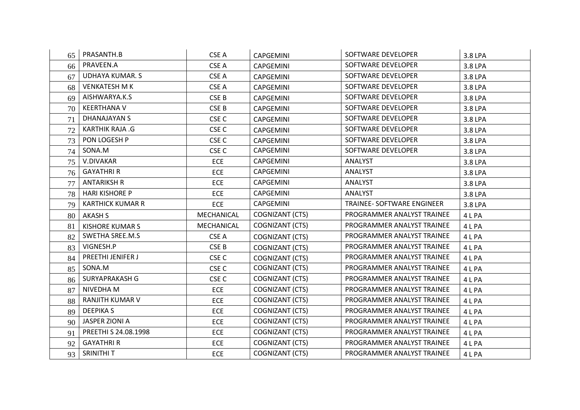| 65 | PRASANTH.B              | CSE A            | <b>CAPGEMINI</b>       | SOFTWARE DEVELOPER         | 3.8 LPA |
|----|-------------------------|------------------|------------------------|----------------------------|---------|
| 66 | PRAVEEN.A               | CSE A            | CAPGEMINI              | SOFTWARE DEVELOPER         | 3.8 LPA |
| 67 | UDHAYA KUMAR. S         | CSE A            | <b>CAPGEMINI</b>       | SOFTWARE DEVELOPER         | 3.8 LPA |
| 68 | <b>VENKATESH M K</b>    | CSE A            | <b>CAPGEMINI</b>       | SOFTWARE DEVELOPER         | 3.8 LPA |
| 69 | AISHWARYA.K.S           | CSE B            | <b>CAPGEMINI</b>       | SOFTWARE DEVELOPER         | 3.8 LPA |
| 70 | <b>KEERTHANA V</b>      | CSE <sub>B</sub> | <b>CAPGEMINI</b>       | SOFTWARE DEVELOPER         | 3.8 LPA |
| 71 | <b>DHANAJAYAN S</b>     | CSE <sub>C</sub> | <b>CAPGEMINI</b>       | SOFTWARE DEVELOPER         | 3.8 LPA |
| 72 | <b>KARTHIK RAJA .G</b>  | CSE <sub>C</sub> | <b>CAPGEMINI</b>       | SOFTWARE DEVELOPER         | 3.8 LPA |
| 73 | PON LOGESH P            | CSE <sub>C</sub> | <b>CAPGEMINI</b>       | SOFTWARE DEVELOPER         | 3.8 LPA |
| 74 | SONA.M                  | CSE <sub>C</sub> | <b>CAPGEMINI</b>       | SOFTWARE DEVELOPER         | 3.8 LPA |
| 75 | V.DIVAKAR               | ECE              | CAPGEMINI              | ANALYST                    | 3.8 LPA |
| 76 | <b>GAYATHRI R</b>       | <b>ECE</b>       | <b>CAPGEMINI</b>       | <b>ANALYST</b>             | 3.8 LPA |
| 77 | <b>ANTARIKSH R</b>      | <b>ECE</b>       | <b>CAPGEMINI</b>       | ANALYST                    | 3.8 LPA |
| 78 | <b>HARI KISHORE P</b>   | <b>ECE</b>       | <b>CAPGEMINI</b>       | ANALYST                    | 3.8 LPA |
| 79 | <b>KARTHICK KUMAR R</b> | <b>ECE</b>       | CAPGEMINI              | TRAINEE- SOFTWARE ENGINEER | 3.8 LPA |
| 80 | <b>AKASH S</b>          | MECHANICAL       | COGNIZANT (CTS)        | PROGRAMMER ANALYST TRAINEE | 4 L PA  |
| 81 | <b>KISHORE KUMAR S</b>  | MECHANICAL       | COGNIZANT (CTS)        | PROGRAMMER ANALYST TRAINEE | 4LPA    |
| 82 | <b>SWETHA SREE.M.S</b>  | CSE A            | <b>COGNIZANT (CTS)</b> | PROGRAMMER ANALYST TRAINEE | 4LPA    |
| 83 | VIGNESH.P               | CSE <sub>B</sub> | COGNIZANT (CTS)        | PROGRAMMER ANALYST TRAINEE | 4 L PA  |
| 84 | PREETHI JENIFER J       | CSE <sub>C</sub> | COGNIZANT (CTS)        | PROGRAMMER ANALYST TRAINEE | 4 L PA  |
| 85 | SONA.M                  | CSE <sub>C</sub> | COGNIZANT (CTS)        | PROGRAMMER ANALYST TRAINEE | 4 L PA  |
| 86 | SURYAPRAKASH G          | CSE <sub>C</sub> | COGNIZANT (CTS)        | PROGRAMMER ANALYST TRAINEE | 4 L PA  |
| 87 | NIVEDHA M               | <b>ECE</b>       | COGNIZANT (CTS)        | PROGRAMMER ANALYST TRAINEE | 4 L PA  |
| 88 | <b>RANJITH KUMAR V</b>  | <b>ECE</b>       | COGNIZANT (CTS)        | PROGRAMMER ANALYST TRAINEE | 4 L PA  |
| 89 | <b>DEEPIKAS</b>         | <b>ECE</b>       | COGNIZANT (CTS)        | PROGRAMMER ANALYST TRAINEE | 4 L PA  |
| 90 | JASPER ZIONI A          | <b>ECE</b>       | COGNIZANT (CTS)        | PROGRAMMER ANALYST TRAINEE | 4 L PA  |
| 91 | PREETHI S 24.08.1998    | <b>ECE</b>       | <b>COGNIZANT (CTS)</b> | PROGRAMMER ANALYST TRAINEE | 4 L PA  |
| 92 | <b>GAYATHRI R</b>       | <b>ECE</b>       | COGNIZANT (CTS)        | PROGRAMMER ANALYST TRAINEE | 4 L PA  |
| 93 | SRINITHI T              | <b>ECE</b>       | COGNIZANT (CTS)        | PROGRAMMER ANALYST TRAINEE | 4LPA    |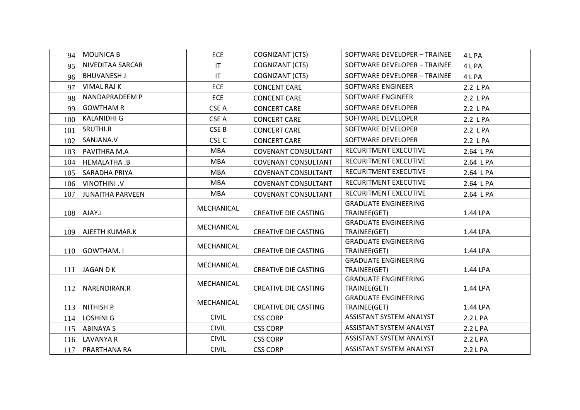| 94  | <b>MOUNICA B</b>        | <b>ECE</b>       | <b>COGNIZANT (CTS)</b>      | SOFTWARE DEVELOPER - TRAINEE                | 4 L PA    |
|-----|-------------------------|------------------|-----------------------------|---------------------------------------------|-----------|
| 95  | NIVEDITAA SARCAR        | IT               | COGNIZANT (CTS)             | SOFTWARE DEVELOPER - TRAINEE                | 4 L PA    |
| 96  | <b>BHUVANESH J</b>      | IT               | <b>COGNIZANT (CTS)</b>      | SOFTWARE DEVELOPER - TRAINEE                | 4 L PA    |
| 97  | <b>VIMAL RAJ K</b>      | <b>ECE</b>       | <b>CONCENT CARE</b>         | SOFTWARE ENGINEER                           | 2.2 L PA  |
| 98  | NANDAPRADEEM P          | ECE              | <b>CONCENT CARE</b>         | SOFTWARE ENGINEER                           | 2.2 L PA  |
| 99  | <b>GOWTHAM R</b>        | CSE A            | <b>CONCERT CARE</b>         | SOFTWARE DEVELOPER                          | 2.2 L PA  |
| 100 | <b>KALANIDHI G</b>      | CSE A            | <b>CONCERT CARE</b>         | SOFTWARE DEVELOPER                          | 2.2 L PA  |
| 101 | SRUTHI.R                | CSE B            | <b>CONCERT CARE</b>         | SOFTWARE DEVELOPER                          | 2.2 L PA  |
| 102 | SANJANA.V               | CSE <sub>C</sub> | <b>CONCERT CARE</b>         | SOFTWARE DEVELOPER                          | 2.2 L PA  |
| 103 | PAVITHRA M.A            | <b>MBA</b>       | <b>COVENANT CONSULTANT</b>  | RECURITMENT EXECUTIVE                       | 2.64 L PA |
| 104 | HEMALATHA.B             | <b>MBA</b>       | <b>COVENANT CONSULTANT</b>  | RECURITMENT EXECUTIVE                       | 2.64 L PA |
| 105 | SARADHA PRIYA           | <b>MBA</b>       | <b>COVENANT CONSULTANT</b>  | RECURITMENT EXECUTIVE                       | 2.64 L PA |
| 106 | VINOTHINI .V            | <b>MBA</b>       | <b>COVENANT CONSULTANT</b>  | RECURITMENT EXECUTIVE                       | 2.64 LPA  |
| 107 | <b>JUNAITHA PARVEEN</b> | <b>MBA</b>       | <b>COVENANT CONSULTANT</b>  | RECURITMENT EXECUTIVE                       | 2.64 L PA |
|     |                         | MECHANICAL       |                             | <b>GRADUATE ENGINEERING</b>                 |           |
| 108 | AJAY.J                  |                  | <b>CREATIVE DIE CASTING</b> | TRAINEE(GET)                                | 1.44 LPA  |
|     |                         | MECHANICAL       |                             | <b>GRADUATE ENGINEERING</b>                 |           |
| 109 | AJEETH KUMAR.K          |                  | <b>CREATIVE DIE CASTING</b> | TRAINEE(GET)<br><b>GRADUATE ENGINEERING</b> | 1.44 LPA  |
| 110 | <b>GOWTHAM.I</b>        | MECHANICAL       | <b>CREATIVE DIE CASTING</b> | TRAINEE(GET)                                | 1.44 LPA  |
|     |                         |                  |                             | <b>GRADUATE ENGINEERING</b>                 |           |
| 111 | JAGAN D K               | MECHANICAL       | <b>CREATIVE DIE CASTING</b> | TRAINEE(GET)                                | 1.44 LPA  |
|     |                         | MECHANICAL       |                             | <b>GRADUATE ENGINEERING</b>                 |           |
| 112 | NARENDIRAN.R            |                  | <b>CREATIVE DIE CASTING</b> | TRAINEE(GET)                                | 1.44 LPA  |
|     |                         | MECHANICAL       |                             | <b>GRADUATE ENGINEERING</b>                 |           |
| 113 | NITHISH.P               |                  | <b>CREATIVE DIE CASTING</b> | TRAINEE(GET)                                | 1.44 LPA  |
| 114 | <b>LOSHINI G</b>        | <b>CIVIL</b>     | <b>CSS CORP</b>             | <b>ASSISTANT SYSTEM ANALYST</b>             | 2.2 LPA   |
| 115 | <b>ABINAYA S</b>        | <b>CIVIL</b>     | <b>CSS CORP</b>             | <b>ASSISTANT SYSTEM ANALYST</b>             | 2.2 L PA  |
| 116 | <b>LAVANYA R</b>        | <b>CIVIL</b>     | <b>CSS CORP</b>             | <b>ASSISTANT SYSTEM ANALYST</b>             | 2.2 L PA  |
| 117 | PRARTHANA RA            | <b>CIVIL</b>     | <b>CSS CORP</b>             | <b>ASSISTANT SYSTEM ANALYST</b>             | 2.2 L PA  |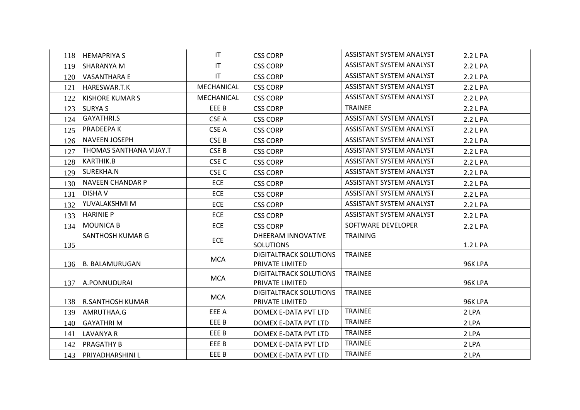|     | 118   HEMAPRIYA S       | IT                     | <b>CSS CORP</b>                                  | <b>ASSISTANT SYSTEM ANALYST</b> | 2.2 L PA |
|-----|-------------------------|------------------------|--------------------------------------------------|---------------------------------|----------|
| 119 | SHARANYA M              | $\mathsf{I}\mathsf{T}$ | <b>CSS CORP</b>                                  | <b>ASSISTANT SYSTEM ANALYST</b> | 2.2 L PA |
| 120 | <b>VASANTHARA E</b>     | $\mathsf{I}\mathsf{T}$ | <b>CSS CORP</b>                                  | <b>ASSISTANT SYSTEM ANALYST</b> | 2.2 LPA  |
| 121 | HARESWAR.T.K            | MECHANICAL             | <b>CSS CORP</b>                                  | ASSISTANT SYSTEM ANALYST        | 2.2 L PA |
| 122 | <b>KISHORE KUMAR S</b>  | MECHANICAL             | <b>CSS CORP</b>                                  | ASSISTANT SYSTEM ANALYST        | 2.2 L PA |
| 123 | <b>SURYA S</b>          | EEE B                  | <b>CSS CORP</b>                                  | <b>TRAINEE</b>                  | 2.2 L PA |
| 124 | GAYATHRI.S              | CSE A                  | <b>CSS CORP</b>                                  | <b>ASSISTANT SYSTEM ANALYST</b> | 2.2 L PA |
| 125 | PRADEEPA K              | CSE A                  | <b>CSS CORP</b>                                  | <b>ASSISTANT SYSTEM ANALYST</b> | 2.2 LPA  |
| 126 | NAVEEN JOSEPH           | CSE B                  | <b>CSS CORP</b>                                  | <b>ASSISTANT SYSTEM ANALYST</b> | 2.2 L PA |
| 127 | THOMAS SANTHANA VIJAY.T | CSE <sub>B</sub>       | <b>CSS CORP</b>                                  | ASSISTANT SYSTEM ANALYST        | 2.2 L PA |
| 128 | KARTHIK.B               | CSE <sub>C</sub>       | <b>CSS CORP</b>                                  | ASSISTANT SYSTEM ANALYST        | 2.2 L PA |
| 129 | SUREKHA.N               | CSE <sub>C</sub>       | <b>CSS CORP</b>                                  | ASSISTANT SYSTEM ANALYST        | 2.2 L PA |
| 130 | <b>NAVEEN CHANDAR P</b> | <b>ECE</b>             | <b>CSS CORP</b>                                  | ASSISTANT SYSTEM ANALYST        | 2.2 L PA |
| 131 | <b>DISHAV</b>           | ECE                    | <b>CSS CORP</b>                                  | <b>ASSISTANT SYSTEM ANALYST</b> | 2.2 L PA |
| 132 | YUVALAKSHMI M           | <b>ECE</b>             | <b>CSS CORP</b>                                  | ASSISTANT SYSTEM ANALYST        | 2.2 L PA |
| 133 | <b>HARINIE P</b>        | <b>ECE</b>             | <b>CSS CORP</b>                                  | <b>ASSISTANT SYSTEM ANALYST</b> | 2.2 L PA |
| 134 | <b>MOUNICA B</b>        | <b>ECE</b>             | <b>CSS CORP</b>                                  | SOFTWARE DEVELOPER              | 2.2 L PA |
|     | SANTHOSH KUMAR G        | ECE                    | DHEERAM INNOVATIVE                               | <b>TRAINING</b>                 |          |
| 135 |                         |                        | <b>SOLUTIONS</b>                                 |                                 | 1.2 L PA |
|     |                         | <b>MCA</b>             | <b>DIGITALTRACK SOLUTIONS</b>                    | <b>TRAINEE</b>                  |          |
|     | 136   B. BALAMURUGAN    |                        | PRIVATE LIMITED                                  |                                 | 96K LPA  |
| 137 | A.PONNUDURAI            | <b>MCA</b>             | <b>DIGITALTRACK SOLUTIONS</b><br>PRIVATE LIMITED | <b>TRAINEE</b>                  | 96K LPA  |
|     |                         |                        | <b>DIGITALTRACK SOLUTIONS</b>                    | <b>TRAINEE</b>                  |          |
|     | 138   R.SANTHOSH KUMAR  | <b>MCA</b>             | PRIVATE LIMITED                                  |                                 | 96K LPA  |
| 139 | AMRUTHAA.G              | EEE A                  | DOMEX E-DATA PVT LTD                             | <b>TRAINEE</b>                  | 2 LPA    |
| 140 | <b>GAYATHRIM</b>        | EEE B                  | DOMEX E-DATA PVT LTD                             | <b>TRAINEE</b>                  | 2 LPA    |
| 141 | <b>LAVANYA R</b>        | EEE B                  | DOMEX E-DATA PVT LTD                             | <b>TRAINEE</b>                  | 2 LPA    |
| 142 | PRAGATHY B              | EEE B                  | DOMEX E-DATA PVT LTD                             | <b>TRAINEE</b>                  | 2 LPA    |
| 143 | PRIYADHARSHINI L        | EEE B                  | DOMEX E-DATA PVT LTD                             | <b>TRAINEE</b>                  | 2 LPA    |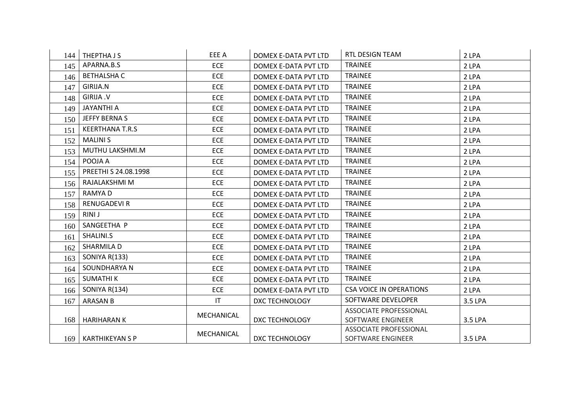| 144 | THEPTHA J S            | EEE A      | DOMEX E-DATA PVT LTD  | RTL DESIGN TEAM                | 2 LPA   |
|-----|------------------------|------------|-----------------------|--------------------------------|---------|
| 145 | APARNA.B.S             | <b>ECE</b> | DOMEX E-DATA PVT LTD  | <b>TRAINEE</b>                 | 2 LPA   |
| 146 | <b>BETHALSHA C</b>     | <b>ECE</b> | DOMEX E-DATA PVT LTD  | <b>TRAINEE</b>                 | 2 LPA   |
| 147 | GIRIJA.N               | <b>ECE</b> | DOMEX E-DATA PVT LTD  | <b>TRAINEE</b>                 | 2 LPA   |
| 148 | <b>GIRIJA .V</b>       | <b>ECE</b> | DOMEX E-DATA PVT LTD  | <b>TRAINEE</b>                 | 2 LPA   |
| 149 | <b>JAYANTHI A</b>      | <b>ECE</b> | DOMEX E-DATA PVT LTD  | <b>TRAINEE</b>                 | 2 LPA   |
| 150 | JEFFY BERNA S          | <b>ECE</b> | DOMEX E-DATA PVT LTD  | <b>TRAINEE</b>                 | 2 LPA   |
| 151 | <b>KEERTHANA T.R.S</b> | <b>ECE</b> | DOMEX E-DATA PVT LTD  | <b>TRAINEE</b>                 | 2 LPA   |
| 152 | <b>MALINIS</b>         | <b>ECE</b> | DOMEX E-DATA PVT LTD  | <b>TRAINEE</b>                 | 2 LPA   |
| 153 | MUTHU LAKSHMI.M        | ECE        | DOMEX E-DATA PVT LTD  | <b>TRAINEE</b>                 | 2 LPA   |
| 154 | POOJA A                | ECE        | DOMEX E-DATA PVT LTD  | <b>TRAINEE</b>                 | 2 LPA   |
| 155 | PREETHI S 24.08.1998   | <b>ECE</b> | DOMEX E-DATA PVT LTD  | <b>TRAINEE</b>                 | 2 LPA   |
| 156 | RAJALAKSHMI M          | ECE        | DOMEX E-DATA PVT LTD  | <b>TRAINEE</b>                 | 2 LPA   |
| 157 | RAMYA D                | ECE        | DOMEX E-DATA PVT LTD  | <b>TRAINEE</b>                 | 2 LPA   |
| 158 | RENUGADEVI R           | <b>ECE</b> | DOMEX E-DATA PVT LTD  | <b>TRAINEE</b>                 | 2 LPA   |
| 159 | <b>RINIJ</b>           | <b>ECE</b> | DOMEX E-DATA PVT LTD  | <b>TRAINEE</b>                 | 2 LPA   |
| 160 | SANGEETHA P            | <b>ECE</b> | DOMEX E-DATA PVT LTD  | <b>TRAINEE</b>                 | 2 LPA   |
| 161 | SHALINI.S              | <b>ECE</b> | DOMEX E-DATA PVT LTD  | <b>TRAINEE</b>                 | 2 LPA   |
| 162 | SHARMILA D             | <b>ECE</b> | DOMEX E-DATA PVT LTD  | <b>TRAINEE</b>                 | 2 LPA   |
| 163 | <b>SONIYA R(133)</b>   | <b>ECE</b> | DOMEX E-DATA PVT LTD  | <b>TRAINEE</b>                 | 2 LPA   |
| 164 | SOUNDHARYA N           | ECE        | DOMEX E-DATA PVT LTD  | <b>TRAINEE</b>                 | 2 LPA   |
| 165 | <b>SUMATHIK</b>        | <b>ECE</b> | DOMEX E-DATA PVT LTD  | <b>TRAINEE</b>                 | 2 LPA   |
| 166 | SONIYA R(134)          | <b>ECE</b> | DOMEX E-DATA PVT LTD  | <b>CSA VOICE IN OPERATIONS</b> | 2 LPA   |
| 167 | <b>ARASAN B</b>        | IT         | <b>DXC TECHNOLOGY</b> | SOFTWARE DEVELOPER             | 3.5 LPA |
|     |                        | MECHANICAL |                       | <b>ASSOCIATE PROFESSIONAL</b>  |         |
| 168 | HARIHARAN K            |            | DXC TECHNOLOGY        | SOFTWARE ENGINEER              | 3.5 LPA |
|     |                        | MECHANICAL |                       | ASSOCIATE PROFESSIONAL         |         |
|     | 169   KARTHIKEYAN S P  |            | <b>DXC TECHNOLOGY</b> | SOFTWARE ENGINEER              | 3.5 LPA |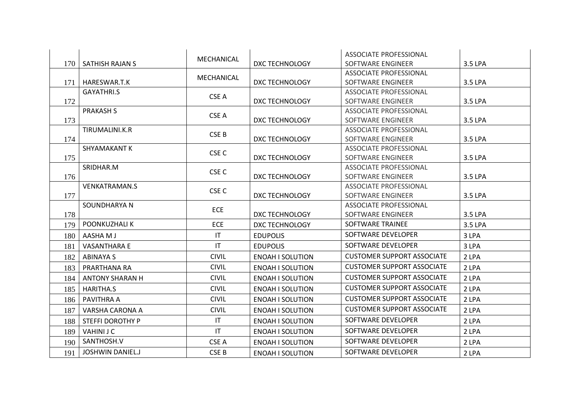|     |                         | MECHANICAL       |                         | <b>ASSOCIATE PROFESSIONAL</b>     |         |
|-----|-------------------------|------------------|-------------------------|-----------------------------------|---------|
| 170 | SATHISH RAJAN S         |                  | DXC TECHNOLOGY          | SOFTWARE ENGINEER                 | 3.5 LPA |
|     |                         | MECHANICAL       |                         | ASSOCIATE PROFESSIONAL            |         |
| 171 | HARESWAR.T.K            |                  | <b>DXC TECHNOLOGY</b>   | SOFTWARE ENGINEER                 | 3.5 LPA |
|     | <b>GAYATHRI.S</b>       | CSE A            |                         | <b>ASSOCIATE PROFESSIONAL</b>     |         |
| 172 |                         |                  | DXC TECHNOLOGY          | SOFTWARE ENGINEER                 | 3.5 LPA |
|     | <b>PRAKASH S</b>        | CSE A            |                         | ASSOCIATE PROFESSIONAL            |         |
| 173 |                         |                  | DXC TECHNOLOGY          | SOFTWARE ENGINEER                 | 3.5 LPA |
|     | TIRUMALINI.K.R          | CSE B            |                         | ASSOCIATE PROFESSIONAL            |         |
| 174 |                         |                  | DXC TECHNOLOGY          | SOFTWARE ENGINEER                 | 3.5 LPA |
|     | SHYAMAKANT K            | CSE <sub>C</sub> |                         | ASSOCIATE PROFESSIONAL            |         |
| 175 |                         |                  | <b>DXC TECHNOLOGY</b>   | SOFTWARE ENGINEER                 | 3.5 LPA |
|     | SRIDHAR.M               | CSE <sub>C</sub> |                         | ASSOCIATE PROFESSIONAL            |         |
| 176 |                         |                  | <b>DXC TECHNOLOGY</b>   | SOFTWARE ENGINEER                 | 3.5 LPA |
|     | <b>VENKATRAMAN.S</b>    | CSE <sub>C</sub> |                         | <b>ASSOCIATE PROFESSIONAL</b>     |         |
| 177 |                         |                  | DXC TECHNOLOGY          | SOFTWARE ENGINEER                 | 3.5 LPA |
|     | SOUNDHARYA N            | <b>ECE</b>       |                         | <b>ASSOCIATE PROFESSIONAL</b>     |         |
| 178 |                         |                  | DXC TECHNOLOGY          | SOFTWARE ENGINEER                 | 3.5 LPA |
| 179 | POONKUZHALI K           | <b>ECE</b>       | DXC TECHNOLOGY          | SOFTWARE TRAINEE                  | 3.5 LPA |
| 180 | AASHA M J               | IT               | <b>EDUPOLIS</b>         | SOFTWARE DEVELOPER                | 3 LPA   |
| 181 | <b>VASANTHARA E</b>     | IT               | <b>EDUPOLIS</b>         | SOFTWARE DEVELOPER                | 3 LPA   |
| 182 | <b>ABINAYA S</b>        | <b>CIVIL</b>     | <b>ENOAH I SOLUTION</b> | <b>CUSTOMER SUPPORT ASSOCIATE</b> | 2 LPA   |
| 183 | PRARTHANA RA            | <b>CIVIL</b>     | <b>ENOAH I SOLUTION</b> | <b>CUSTOMER SUPPORT ASSOCIATE</b> | 2 LPA   |
| 184 | <b>ANTONY SHARAN H</b>  | <b>CIVIL</b>     | <b>ENOAH I SOLUTION</b> | <b>CUSTOMER SUPPORT ASSOCIATE</b> | 2 LPA   |
| 185 | <b>HARITHA.S</b>        | <b>CIVIL</b>     | <b>ENOAH I SOLUTION</b> | <b>CUSTOMER SUPPORT ASSOCIATE</b> | 2 LPA   |
| 186 | PAVITHRA A              | <b>CIVIL</b>     | <b>ENOAH I SOLUTION</b> | <b>CUSTOMER SUPPORT ASSOCIATE</b> | 2 LPA   |
| 187 | VARSHA CARONA A         | <b>CIVIL</b>     | <b>ENOAH I SOLUTION</b> | <b>CUSTOMER SUPPORT ASSOCIATE</b> | 2 LPA   |
| 188 | STEFFI DOROTHY P        | IT               | <b>ENOAH I SOLUTION</b> | SOFTWARE DEVELOPER                | 2 LPA   |
| 189 | <b>VAHINI J C</b>       | IT               | <b>ENOAH I SOLUTION</b> | SOFTWARE DEVELOPER                | 2 LPA   |
| 190 | SANTHOSH.V              | CSE A            | <b>ENOAH I SOLUTION</b> | SOFTWARE DEVELOPER                | 2 LPA   |
| 191 | <b>JOSHWIN DANIEL.J</b> | CSE B            | <b>ENOAH I SOLUTION</b> | SOFTWARE DEVELOPER                | 2 LPA   |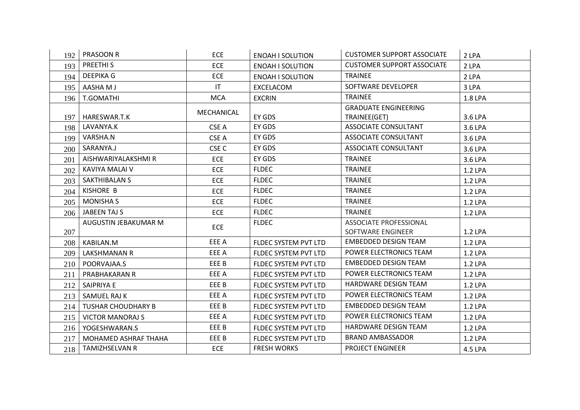| 192 | <b>PRASOON R</b>          | <b>ECE</b>             | <b>ENOAH I SOLUTION</b> | <b>CUSTOMER SUPPORT ASSOCIATE</b>                  | 2 LPA   |
|-----|---------------------------|------------------------|-------------------------|----------------------------------------------------|---------|
| 193 | <b>PREETHIS</b>           | <b>ECE</b>             | <b>ENOAH I SOLUTION</b> | <b>CUSTOMER SUPPORT ASSOCIATE</b>                  | 2 LPA   |
| 194 | <b>DEEPIKA G</b>          | <b>ECE</b>             | <b>ENOAH I SOLUTION</b> | <b>TRAINEE</b>                                     | 2 LPA   |
| 195 | AASHA M J                 | $\mathsf{I}\mathsf{T}$ | EXCELACOM               | SOFTWARE DEVELOPER                                 | 3 LPA   |
| 196 | T.GOMATHI                 | <b>MCA</b>             | <b>EXCRIN</b>           | <b>TRAINEE</b>                                     | 1.8 LPA |
| 197 | HARESWAR.T.K              | MECHANICAL             | EY GDS                  | <b>GRADUATE ENGINEERING</b><br>TRAINEE(GET)        | 3.6 LPA |
| 198 | LAVANYA.K                 | CSE A                  | EY GDS                  | ASSOCIATE CONSULTANT                               | 3.6 LPA |
| 199 | VARSHA.N                  | CSE A                  | EY GDS                  | ASSOCIATE CONSULTANT                               | 3.6 LPA |
| 200 | SARANYA.J                 | CSE <sub>C</sub>       | EY GDS                  | <b>ASSOCIATE CONSULTANT</b>                        | 3.6 LPA |
| 201 | AISHWARIYALAKSHMI R       | <b>ECE</b>             | EY GDS                  | <b>TRAINEE</b>                                     | 3.6 LPA |
| 202 | KAVIYA MALAI V            | <b>ECE</b>             | <b>FLDEC</b>            | <b>TRAINEE</b>                                     | 1.2 LPA |
| 203 | <b>SAKTHIBALAN S</b>      | <b>ECE</b>             | <b>FLDEC</b>            | <b>TRAINEE</b>                                     | 1.2 LPA |
| 204 | KISHORE B                 | <b>ECE</b>             | <b>FLDEC</b>            | <b>TRAINEE</b>                                     | 1.2 LPA |
| 205 | <b>MONISHA S</b>          | <b>ECE</b>             | <b>FLDEC</b>            | <b>TRAINEE</b>                                     | 1.2 LPA |
| 206 | JABEEN TAJ S              | <b>ECE</b>             | <b>FLDEC</b>            | <b>TRAINEE</b>                                     | 1.2 LPA |
| 207 | AUGUSTIN JEBAKUMAR M      | <b>ECE</b>             | <b>FLDEC</b>            | <b>ASSOCIATE PROFESSIONAL</b><br>SOFTWARE ENGINEER | 1.2 LPA |
| 208 | KABILAN.M                 | EEE A                  | FLDEC SYSTEM PVT LTD    | <b>EMBEDDED DESIGN TEAM</b>                        | 1.2 LPA |
| 209 | LAKSHMANAN R              | EEE A                  | FLDEC SYSTEM PVT LTD    | POWER ELECTRONICS TEAM                             | 1.2 LPA |
| 210 | POORVAJAA.S               | EEE B                  | FLDEC SYSTEM PVT LTD    | <b>EMBEDDED DESIGN TEAM</b>                        | 1.2 LPA |
| 211 | PRABHAKARAN R             | EEE A                  | FLDEC SYSTEM PVT LTD    | POWER ELECTRONICS TEAM                             | 1.2 LPA |
| 212 | SAIPRIYA E                | EEE B                  | FLDEC SYSTEM PVT LTD    | HARDWARE DESIGN TEAM                               | 1.2 LPA |
| 213 | SAMUEL RAJ K              | EEE A                  | FLDEC SYSTEM PVT LTD    | POWER ELECTRONICS TEAM                             | 1.2 LPA |
| 214 | <b>TUSHAR CHOUDHARY B</b> | EEE B                  | FLDEC SYSTEM PVT LTD    | <b>EMBEDDED DESIGN TEAM</b>                        | 1.2 LPA |
| 215 | <b>VICTOR MANORAJ S</b>   | EEE A                  | FLDEC SYSTEM PVT LTD    | POWER ELECTRONICS TEAM                             | 1.2 LPA |
| 216 | YOGESHWARAN.S             | EEE B                  | FLDEC SYSTEM PVT LTD    | HARDWARE DESIGN TEAM                               | 1.2 LPA |
| 217 | MOHAMED ASHRAF THAHA      | EEE B                  | FLDEC SYSTEM PVT LTD    | <b>BRAND AMBASSADOR</b>                            | 1.2 LPA |
| 218 | TAMIZHSELVAN R            | <b>ECE</b>             | <b>FRESH WORKS</b>      | <b>PROJECT ENGINEER</b>                            | 4.5 LPA |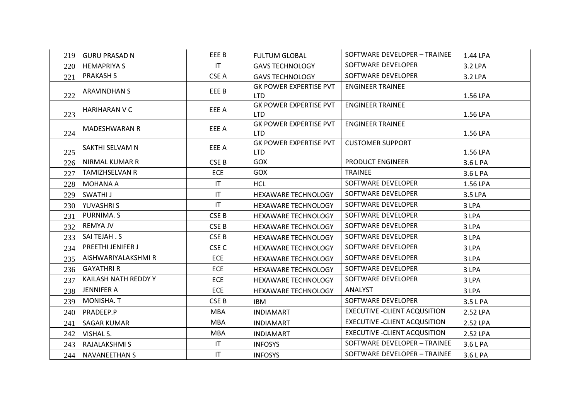| 219 l | <b>GURU PRASAD N</b>  | EEE B                  | <b>FULTUM GLOBAL</b>                        | SOFTWARE DEVELOPER - TRAINEE         | 1.44 LPA |
|-------|-----------------------|------------------------|---------------------------------------------|--------------------------------------|----------|
| 220   | <b>HEMAPRIYA S</b>    | $\mathsf{I}\mathsf{T}$ | <b>GAVS TECHNOLOGY</b>                      | SOFTWARE DEVELOPER                   | 3.2 LPA  |
| 221   | <b>PRAKASH S</b>      | CSE A                  | <b>GAVS TECHNOLOGY</b>                      | SOFTWARE DEVELOPER                   | 3.2 LPA  |
| 222   | <b>ARAVINDHAN S</b>   | EEE B                  | <b>GK POWER EXPERTISE PVT</b><br><b>LTD</b> | <b>ENGINEER TRAINEE</b>              | 1.56 LPA |
| 223   | <b>HARIHARAN V C</b>  | EEE A                  | <b>GK POWER EXPERTISE PVT</b><br><b>LTD</b> | <b>ENGINEER TRAINEE</b>              | 1.56 LPA |
| 224   | <b>MADESHWARAN R</b>  | EEE A                  | <b>GK POWER EXPERTISE PVT</b><br><b>LTD</b> | <b>ENGINEER TRAINEE</b>              | 1.56 LPA |
| 225   | SAKTHI SELVAM N       | EEE A                  | <b>GK POWER EXPERTISE PVT</b><br><b>LTD</b> | <b>CUSTOMER SUPPORT</b>              | 1.56 LPA |
| 226   | <b>NIRMAL KUMAR R</b> | CSE <sub>B</sub>       | GOX                                         | <b>PRODUCT ENGINEER</b>              | 3.6 L PA |
| 227   | <b>TAMIZHSELVAN R</b> | ECE                    | GOX                                         | <b>TRAINEE</b>                       | 3.6 L PA |
| 228   | <b>MOHANA A</b>       | $\mathsf{I}\mathsf{T}$ | <b>HCL</b>                                  | SOFTWARE DEVELOPER                   | 1.56 LPA |
| 229   | SWATHI J              | IT                     | HEXAWARE TECHNOLOGY                         | SOFTWARE DEVELOPER                   | 3.5 LPA  |
| 230   | YUVASHRI S            | IT                     | HEXAWARE TECHNOLOGY                         | SOFTWARE DEVELOPER                   | 3 LPA    |
| 231   | PURNIMA. S            | CSE B                  | <b>HEXAWARE TECHNOLOGY</b>                  | SOFTWARE DEVELOPER                   | 3 LPA    |
| 232   | <b>REMYA JV</b>       | CSE <sub>B</sub>       | HEXAWARE TECHNOLOGY                         | SOFTWARE DEVELOPER                   | 3 LPA    |
| 233   | SAI TEJAH . S         | CSE B                  | HEXAWARE TECHNOLOGY                         | SOFTWARE DEVELOPER                   | 3 LPA    |
| 234   | PREETHI JENIFER J     | CSE <sub>C</sub>       | <b>HEXAWARE TECHNOLOGY</b>                  | SOFTWARE DEVELOPER                   | 3 LPA    |
| 235   | AISHWARIYALAKSHMI R   | <b>ECE</b>             | <b>HEXAWARE TECHNOLOGY</b>                  | SOFTWARE DEVELOPER                   | 3 LPA    |
| 236   | <b>GAYATHRI R</b>     | <b>ECE</b>             | HEXAWARE TECHNOLOGY                         | SOFTWARE DEVELOPER                   | 3 LPA    |
| 237   | KAILASH NATH REDDY Y  | <b>ECE</b>             | HEXAWARE TECHNOLOGY                         | SOFTWARE DEVELOPER                   | 3 LPA    |
| 238   | <b>JENNIFER A</b>     | <b>ECE</b>             | <b>HEXAWARE TECHNOLOGY</b>                  | ANALYST                              | 3 LPA    |
| 239   | MONISHA. T            | CSE <sub>B</sub>       | <b>IBM</b>                                  | SOFTWARE DEVELOPER                   | 3.5 L PA |
| 240   | PRADEEP.P             | <b>MBA</b>             | <b>INDIAMART</b>                            | <b>EXECUTIVE - CLIENT ACQUSITION</b> | 2.52 LPA |
| 241   | <b>SAGAR KUMAR</b>    | <b>MBA</b>             | <b>INDIAMART</b>                            | <b>EXECUTIVE - CLIENT ACQUSITION</b> | 2.52 LPA |
| 242   | VISHAL S.             | <b>MBA</b>             | <b>INDIAMART</b>                            | <b>EXECUTIVE - CLIENT ACQUSITION</b> | 2.52 LPA |
| 243   | RAJALAKSHMI S         | $\mathsf{I}\mathsf{T}$ | <b>INFOSYS</b>                              | SOFTWARE DEVELOPER - TRAINEE         | 3.6 L PA |
| 244   | <b>NAVANEETHAN S</b>  | IT                     | <b>INFOSYS</b>                              | SOFTWARE DEVELOPER - TRAINEE         | 3.6 L PA |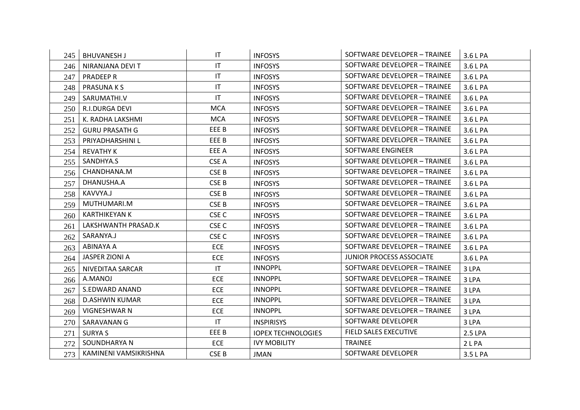| 245 | <b>BHUVANESH J</b>    | IT                     | <b>INFOSYS</b>            | SOFTWARE DEVELOPER - TRAINEE    | 3.6 L PA |
|-----|-----------------------|------------------------|---------------------------|---------------------------------|----------|
| 246 | NIRANJANA DEVI T      | IT                     | <b>INFOSYS</b>            | SOFTWARE DEVELOPER - TRAINEE    | 3.6 L PA |
| 247 | PRADEEP R             | $\mathsf{I}\mathsf{T}$ | <b>INFOSYS</b>            | SOFTWARE DEVELOPER - TRAINEE    | 3.6 L PA |
| 248 | <b>PRASUNAKS</b>      | $\mathsf{I}\mathsf{T}$ | <b>INFOSYS</b>            | SOFTWARE DEVELOPER - TRAINEE    | 3.6 L PA |
| 249 | SARUMATHI.V           | IT                     | <b>INFOSYS</b>            | SOFTWARE DEVELOPER - TRAINEE    | 3.6 L PA |
| 250 | R.I.DURGA DEVI        | <b>MCA</b>             | <b>INFOSYS</b>            | SOFTWARE DEVELOPER - TRAINEE    | 3.6 L PA |
| 251 | K. RADHA LAKSHMI      | <b>MCA</b>             | <b>INFOSYS</b>            | SOFTWARE DEVELOPER - TRAINEE    | 3.6 L PA |
| 252 | <b>GURU PRASATH G</b> | EEE B                  | <b>INFOSYS</b>            | SOFTWARE DEVELOPER - TRAINEE    | 3.6 L PA |
| 253 | PRIYADHARSHINI L      | EEE B                  | <b>INFOSYS</b>            | SOFTWARE DEVELOPER - TRAINEE    | 3.6 L PA |
| 254 | <b>REVATHY K</b>      | EEE A                  | <b>INFOSYS</b>            | SOFTWARE ENGINEER               | 3.6 L PA |
| 255 | SANDHYA.S             | CSE A                  | <b>INFOSYS</b>            | SOFTWARE DEVELOPER - TRAINEE    | 3.6 L PA |
| 256 | CHANDHANA.M           | CSE B                  | <b>INFOSYS</b>            | SOFTWARE DEVELOPER - TRAINEE    | 3.6 L PA |
| 257 | DHANUSHA.A            | CSE B                  | <b>INFOSYS</b>            | SOFTWARE DEVELOPER - TRAINEE    | 3.6 L PA |
| 258 | KAVVYA.J              | CSE B                  | <b>INFOSYS</b>            | SOFTWARE DEVELOPER - TRAINEE    | 3.6 L PA |
| 259 | MUTHUMARI.M           | CSE B                  | <b>INFOSYS</b>            | SOFTWARE DEVELOPER - TRAINEE    | 3.6 L PA |
| 260 | <b>KARTHIKEYAN K</b>  | CSE <sub>C</sub>       | <b>INFOSYS</b>            | SOFTWARE DEVELOPER - TRAINEE    | 3.6 L PA |
| 261 | LAKSHWANTH PRASAD.K   | CSE <sub>C</sub>       | <b>INFOSYS</b>            | SOFTWARE DEVELOPER - TRAINEE    | 3.6 L PA |
| 262 | SARANYA.J             | CSE <sub>C</sub>       | <b>INFOSYS</b>            | SOFTWARE DEVELOPER - TRAINEE    | 3.6 L PA |
| 263 | ABINAYA A             | ECE                    | <b>INFOSYS</b>            | SOFTWARE DEVELOPER - TRAINEE    | 3.6 L PA |
| 264 | JASPER ZIONI A        | <b>ECE</b>             | <b>INFOSYS</b>            | <b>JUNIOR PROCESS ASSOCIATE</b> | 3.6 L PA |
| 265 | NIVEDITAA SARCAR      | IT                     | <b>INNOPPL</b>            | SOFTWARE DEVELOPER - TRAINEE    | 3 LPA    |
| 266 | A.MANOJ               | <b>ECE</b>             | <b>INNOPPL</b>            | SOFTWARE DEVELOPER - TRAINEE    | 3 LPA    |
| 267 | S.EDWARD ANAND        | <b>ECE</b>             | <b>INNOPPL</b>            | SOFTWARE DEVELOPER - TRAINEE    | 3 LPA    |
| 268 | <b>D.ASHWIN KUMAR</b> | <b>ECE</b>             | <b>INNOPPL</b>            | SOFTWARE DEVELOPER - TRAINEE    | 3 LPA    |
| 269 | VIGNESHWAR N          | <b>ECE</b>             | <b>INNOPPL</b>            | SOFTWARE DEVELOPER - TRAINEE    | 3 LPA    |
| 270 | SARAVANAN G           | $\mathsf{I}\mathsf{T}$ | <b>INSPIRISYS</b>         | SOFTWARE DEVELOPER              | 3 LPA    |
| 271 | <b>SURYA S</b>        | EEE B                  | <b>IOPEX TECHNOLOGIES</b> | FIELD SALES EXECUTIVE           | 2.5 LPA  |
| 272 | SOUNDHARYA N          | <b>ECE</b>             | <b>IVY MOBILITY</b>       | <b>TRAINEE</b>                  | 2 L PA   |
| 273 | KAMINENI VAMSIKRISHNA | CSE <sub>B</sub>       | <b>JMAN</b>               | SOFTWARE DEVELOPER              | 3.5 L PA |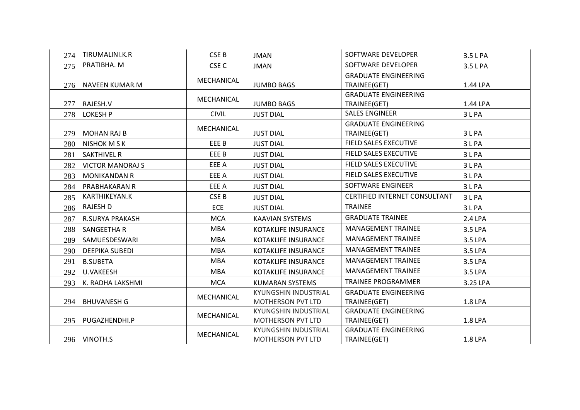| 274 | TIRUMALINI.K.R          | CSE <sub>B</sub> | <b>JMAN</b>                                             | SOFTWARE DEVELOPER                          | 3.5 L PA |
|-----|-------------------------|------------------|---------------------------------------------------------|---------------------------------------------|----------|
| 275 | PRATIBHA. M             | CSE <sub>C</sub> | <b>JMAN</b>                                             | SOFTWARE DEVELOPER                          | 3.5 L PA |
|     | 276   NAVEEN KUMAR.M    | MECHANICAL       | <b>JUMBO BAGS</b>                                       | <b>GRADUATE ENGINEERING</b><br>TRAINEE(GET) | 1.44 LPA |
| 277 | RAJESH.V                | MECHANICAL       | <b>JUMBO BAGS</b>                                       | <b>GRADUATE ENGINEERING</b><br>TRAINEE(GET) | 1.44 LPA |
| 278 | <b>LOKESH P</b>         | <b>CIVIL</b>     | <b>JUST DIAL</b>                                        | <b>SALES ENGINEER</b>                       | 3 L PA   |
| 279 | <b>MOHAN RAJ B</b>      | MECHANICAL       | <b>JUST DIAL</b>                                        | <b>GRADUATE ENGINEERING</b><br>TRAINEE(GET) | 3 L PA   |
| 280 | <b>NISHOK M S K</b>     | EEE B            | <b>JUST DIAL</b>                                        | <b>FIELD SALES EXECUTIVE</b>                | 3 L PA   |
| 281 | <b>SAKTHIVEL R</b>      | EEE B            | <b>JUST DIAL</b>                                        | FIELD SALES EXECUTIVE                       | 3LPA     |
| 282 | <b>VICTOR MANORAJ S</b> | EEE A            | <b>JUST DIAL</b>                                        | FIELD SALES EXECUTIVE                       | 3 L PA   |
| 283 | <b>MONIKANDAN R</b>     | EEE A            | <b>JUST DIAL</b>                                        | <b>FIELD SALES EXECUTIVE</b>                | 3 L PA   |
| 284 | PRABHAKARAN R           | EEE A            | <b>JUST DIAL</b>                                        | SOFTWARE ENGINEER                           | 3 L PA   |
| 285 | KARTHIKEYAN.K           | CSE <sub>B</sub> | <b>JUST DIAL</b>                                        | <b>CERTIFIED INTERNET CONSULTANT</b>        | 3LPA     |
| 286 | <b>RAJESH D</b>         | <b>ECE</b>       | <b>JUST DIAL</b>                                        | <b>TRAINEE</b>                              | 3 L PA   |
| 287 | <b>R.SURYA PRAKASH</b>  | <b>MCA</b>       | <b>KAAVIAN SYSTEMS</b>                                  | <b>GRADUATE TRAINEE</b>                     | 2.4 LPA  |
| 288 | SANGEETHA R             | <b>MBA</b>       | KOTAKLIFE INSURANCE                                     | <b>MANAGEMENT TRAINEE</b>                   | 3.5 LPA  |
| 289 | SAMUESDESWARI           | <b>MBA</b>       | KOTAKLIFE INSURANCE                                     | <b>MANAGEMENT TRAINEE</b>                   | 3.5 LPA  |
| 290 | <b>DEEPIKA SUBEDI</b>   | <b>MBA</b>       | KOTAKLIFE INSURANCE                                     | <b>MANAGEMENT TRAINEE</b>                   | 3.5 LPA  |
| 291 | <b>B.SUBETA</b>         | <b>MBA</b>       | <b>KOTAKLIFE INSURANCE</b>                              | MANAGEMENT TRAINEE                          | 3.5 LPA  |
| 292 | U.VAKEESH               | <b>MBA</b>       | KOTAKLIFE INSURANCE                                     | <b>MANAGEMENT TRAINEE</b>                   | 3.5 LPA  |
| 293 | K. RADHA LAKSHMI        | <b>MCA</b>       | <b>KUMARAN SYSTEMS</b>                                  | <b>TRAINEE PROGRAMMER</b>                   | 3.25 LPA |
| 294 | <b>BHUVANESH G</b>      | MECHANICAL       | KYUNGSHIN INDUSTRIAL<br>MOTHERSON PVT LTD               | <b>GRADUATE ENGINEERING</b><br>TRAINEE(GET) | 1.8 LPA  |
| 295 | PUGAZHENDHI.P           | MECHANICAL       | <b>KYUNGSHIN INDUSTRIAL</b><br><b>MOTHERSON PVT LTD</b> | <b>GRADUATE ENGINEERING</b><br>TRAINEE(GET) | 1.8 LPA  |
|     | 296   VINOTH.S          | MECHANICAL       | KYUNGSHIN INDUSTRIAL<br><b>MOTHERSON PVT LTD</b>        | <b>GRADUATE ENGINEERING</b><br>TRAINEE(GET) | 1.8 LPA  |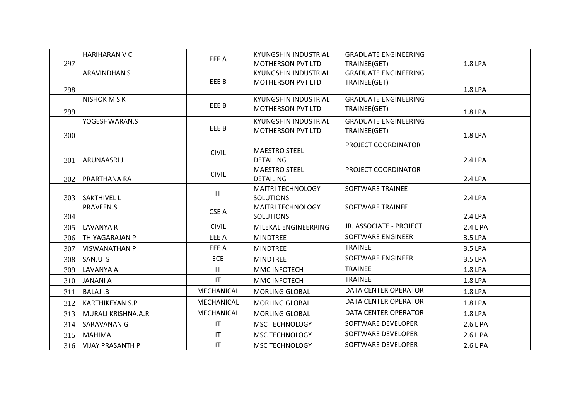|     | <b>HARIHARAN V C</b>    | EEE A                  | KYUNGSHIN INDUSTRIAL                      | <b>GRADUATE ENGINEERING</b> |          |
|-----|-------------------------|------------------------|-------------------------------------------|-----------------------------|----------|
| 297 |                         |                        | MOTHERSON PVT LTD                         | TRAINEE(GET)                | 1.8 LPA  |
|     | <b>ARAVINDHAN S</b>     |                        | KYUNGSHIN INDUSTRIAL                      | <b>GRADUATE ENGINEERING</b> |          |
|     |                         | EEE B                  | MOTHERSON PVT LTD                         | TRAINEE(GET)                |          |
| 298 |                         |                        |                                           |                             | 1.8 LPA  |
|     | <b>NISHOK M S K</b>     | EEE B                  | KYUNGSHIN INDUSTRIAL<br>MOTHERSON PVT LTD | <b>GRADUATE ENGINEERING</b> |          |
| 299 |                         |                        |                                           | TRAINEE(GET)                | 1.8 LPA  |
|     | YOGESHWARAN.S           | EEE B                  | KYUNGSHIN INDUSTRIAL                      | <b>GRADUATE ENGINEERING</b> |          |
| 300 |                         |                        | <b>MOTHERSON PVT LTD</b>                  | TRAINEE(GET)                | 1.8 LPA  |
|     |                         |                        |                                           | PROJECT COORDINATOR         |          |
|     |                         | <b>CIVIL</b>           | <b>MAESTRO STEEL</b>                      |                             |          |
| 301 | ARUNAASRI J             |                        | <b>DETAILING</b>                          |                             | 2.4 LPA  |
| 302 | PRARTHANA RA            | <b>CIVIL</b>           | <b>MAESTRO STEEL</b><br><b>DETAILING</b>  | PROJECT COORDINATOR         | 2.4 LPA  |
|     |                         |                        | <b>MAITRI TECHNOLOGY</b>                  | SOFTWARE TRAINEE            |          |
|     | 303   SAKTHIVEL L       | $\mathsf{I}\mathsf{T}$ | <b>SOLUTIONS</b>                          |                             | 2.4 LPA  |
|     | PRAVEEN.S               |                        | <b>MAITRI TECHNOLOGY</b>                  | <b>SOFTWARE TRAINEE</b>     |          |
| 304 |                         | CSE A                  | <b>SOLUTIONS</b>                          |                             | 2.4 LPA  |
| 305 | <b>LAVANYA R</b>        | <b>CIVIL</b>           | MILEKAL ENGINEERRING                      | JR. ASSOCIATE - PROJECT     | 2.4 L PA |
| 306 | THIYAGARAJAN P          | EEE A                  | <b>MINDTREE</b>                           | SOFTWARE ENGINEER           | 3.5 LPA  |
| 307 | <b>VISWANATHAN P</b>    | EEE A                  | <b>MINDTREE</b>                           | <b>TRAINEE</b>              | 3.5 LPA  |
| 308 | SANJU S                 | <b>ECE</b>             | <b>MINDTREE</b>                           | SOFTWARE ENGINEER           | 3.5 LPA  |
| 309 | LAVANYA A               | IT                     | <b>MMC INFOTECH</b>                       | <b>TRAINEE</b>              | 1.8 LPA  |
| 310 | <b>JANANI A</b>         | IT.                    | MMC INFOTECH                              | <b>TRAINEE</b>              | 1.8 LPA  |
| 311 | <b>BALAJI.B</b>         | MECHANICAL             | <b>MORLING GLOBAL</b>                     | DATA CENTER OPERATOR        | 1.8 LPA  |
| 312 | KARTHIKEYAN.S.P         | MECHANICAL             | <b>MORLING GLOBAL</b>                     | DATA CENTER OPERATOR        | 1.8 LPA  |
| 313 | MURALI KRISHNA.A.R      | MECHANICAL             | <b>MORLING GLOBAL</b>                     | DATA CENTER OPERATOR        | 1.8 LPA  |
| 314 | SARAVANAN G             | $\mathsf{I}\mathsf{T}$ | <b>MSC TECHNOLOGY</b>                     | SOFTWARE DEVELOPER          | 2.6 L PA |
| 315 | <b>MAHIMA</b>           | $\mathsf{I}\mathsf{T}$ | MSC TECHNOLOGY                            | SOFTWARE DEVELOPER          | 2.6 L PA |
| 316 | <b>VIJAY PRASANTH P</b> | $\mathsf{I}\mathsf{T}$ | <b>MSC TECHNOLOGY</b>                     | SOFTWARE DEVELOPER          | 2.6 L PA |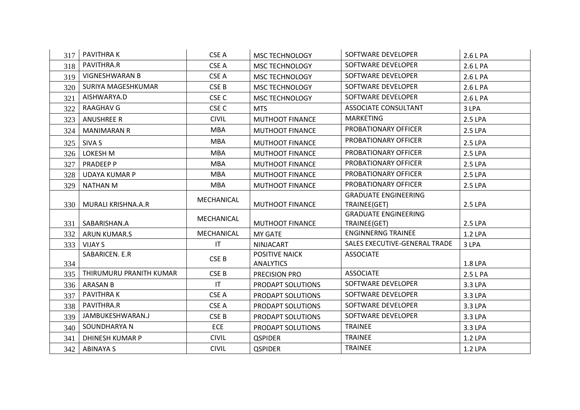| 317 | <b>PAVITHRAK</b>         | CSE A                  | MSC TECHNOLOGY                            | SOFTWARE DEVELOPER            | 2.6 L PA |
|-----|--------------------------|------------------------|-------------------------------------------|-------------------------------|----------|
| 318 | PAVITHRA.R               | CSE A                  | <b>MSC TECHNOLOGY</b>                     | SOFTWARE DEVELOPER            | 2.6 L PA |
| 319 | <b>VIGNESHWARAN B</b>    | CSE A                  | MSC TECHNOLOGY                            | SOFTWARE DEVELOPER            | 2.6 L PA |
| 320 | SURIYA MAGESHKUMAR       | CSE <sub>B</sub>       | <b>MSC TECHNOLOGY</b>                     | SOFTWARE DEVELOPER            | 2.6 L PA |
| 321 | AISHWARYA.D              | CSE <sub>C</sub>       | <b>MSC TECHNOLOGY</b>                     | SOFTWARE DEVELOPER            | 2.6 L PA |
| 322 | RAAGHAV G                | CSE <sub>C</sub>       | <b>MTS</b>                                | ASSOCIATE CONSULTANT          | 3 LPA    |
| 323 | <b>ANUSHREE R</b>        | <b>CIVIL</b>           | <b>MUTHOOT FINANCE</b>                    | <b>MARKETING</b>              | 2.5 LPA  |
| 324 | <b>MANIMARAN R</b>       | <b>MBA</b>             | <b>MUTHOOT FINANCE</b>                    | PROBATIONARY OFFICER          | 2.5 LPA  |
| 325 | SIVA S                   | <b>MBA</b>             | MUTHOOT FINANCE                           | PROBATIONARY OFFICER          | 2.5 LPA  |
| 326 | LOKESH M                 | <b>MBA</b>             | MUTHOOT FINANCE                           | PROBATIONARY OFFICER          | 2.5 LPA  |
| 327 | PRADEEP P                | <b>MBA</b>             | <b>MUTHOOT FINANCE</b>                    | PROBATIONARY OFFICER          | 2.5 LPA  |
| 328 | <b>UDAYA KUMAR P</b>     | <b>MBA</b>             | <b>MUTHOOT FINANCE</b>                    | PROBATIONARY OFFICER          | 2.5 LPA  |
| 329 | <b>NATHAN M</b>          | <b>MBA</b>             | <b>MUTHOOT FINANCE</b>                    | PROBATIONARY OFFICER          | 2.5 LPA  |
|     |                          | MECHANICAL             |                                           | <b>GRADUATE ENGINEERING</b>   |          |
|     | 330   MURALI KRISHNA.A.R |                        | <b>MUTHOOT FINANCE</b>                    | TRAINEE(GET)                  | 2.5 LPA  |
|     |                          | MECHANICAL             |                                           | <b>GRADUATE ENGINEERING</b>   |          |
| 331 | SABARISHAN.A             |                        | <b>MUTHOOT FINANCE</b>                    | TRAINEE(GET)                  | 2.5 LPA  |
| 332 | ARUN KUMAR.S             | MECHANICAL             | <b>MY GATE</b>                            | <b>ENGINNERNG TRAINEE</b>     | 1.2 LPA  |
| 333 | <b>VIJAY S</b>           | $\mathsf{I}\mathsf{T}$ | NINJACART                                 | SALES EXECUTIVE-GENERAL TRADE | 3 LPA    |
| 334 | SABARICEN. E.R           | CSE B                  | <b>POSITIVE NAICK</b><br><b>ANALYTICS</b> | <b>ASSOCIATE</b>              | 1.8 LPA  |
| 335 | THIRUMURU PRANITH KUMAR  | CSE B                  | PRECISION PRO                             | <b>ASSOCIATE</b>              | 2.5 L PA |
| 336 | ARASAN B                 | $\mathsf{I}\mathsf{T}$ | PRODAPT SOLUTIONS                         | SOFTWARE DEVELOPER            | 3.3 LPA  |
| 337 | PAVITHRA K               | CSE A                  | PRODAPT SOLUTIONS                         | SOFTWARE DEVELOPER            | 3.3 LPA  |
| 338 | PAVITHRA.R               | CSE A                  | PRODAPT SOLUTIONS                         | SOFTWARE DEVELOPER            | 3.3 LPA  |
| 339 | JAMBUKESHWARAN.J         | CSE B                  | PRODAPT SOLUTIONS                         | SOFTWARE DEVELOPER            | 3.3 LPA  |
| 340 | SOUNDHARYA N             | ECE                    | PRODAPT SOLUTIONS                         | <b>TRAINEE</b>                | 3.3 LPA  |
| 341 | DHINESH KUMAR P          | <b>CIVIL</b>           | <b>QSPIDER</b>                            | <b>TRAINEE</b>                | 1.2 LPA  |
| 342 | <b>ABINAYA S</b>         | <b>CIVIL</b>           | <b>QSPIDER</b>                            | <b>TRAINEE</b>                | 1.2 LPA  |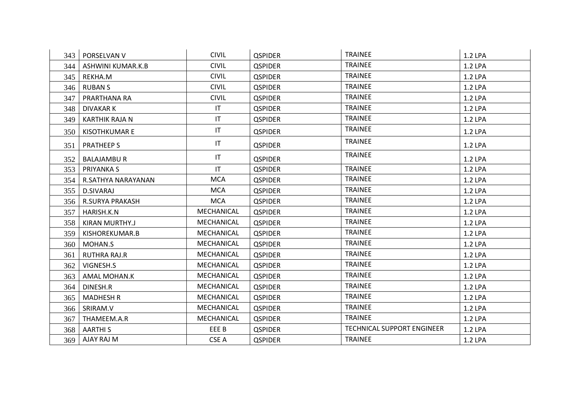| 343 | PORSELVAN V           | <b>CIVIL</b>           | <b>QSPIDER</b> | <b>TRAINEE</b>                    | 1.2 LPA |
|-----|-----------------------|------------------------|----------------|-----------------------------------|---------|
| 344 | ASHWINI KUMAR.K.B     | <b>CIVIL</b>           | <b>QSPIDER</b> | <b>TRAINEE</b>                    | 1.2 LPA |
| 345 | REKHA.M               | <b>CIVIL</b>           | <b>QSPIDER</b> | <b>TRAINEE</b>                    | 1.2 LPA |
| 346 | <b>RUBAN S</b>        | <b>CIVIL</b>           | <b>QSPIDER</b> | <b>TRAINEE</b>                    | 1.2 LPA |
| 347 | PRARTHANA RA          | <b>CIVIL</b>           | <b>QSPIDER</b> | <b>TRAINEE</b>                    | 1.2 LPA |
| 348 | DIVAKAR K             | $\mathsf{I}\mathsf{T}$ | <b>QSPIDER</b> | <b>TRAINEE</b>                    | 1.2 LPA |
| 349 | <b>KARTHIK RAJA N</b> | IT.                    | <b>QSPIDER</b> | <b>TRAINEE</b>                    | 1.2 LPA |
| 350 | <b>KISOTHKUMAR E</b>  | IT                     | <b>QSPIDER</b> | <b>TRAINEE</b>                    | 1.2 LPA |
| 351 | <b>PRATHEEP S</b>     | $\mathsf{I}\mathsf{T}$ | <b>QSPIDER</b> | <b>TRAINEE</b>                    | 1.2 LPA |
| 352 | <b>BALAJAMBUR</b>     | $\mathsf{I}\mathsf{T}$ | <b>QSPIDER</b> | <b>TRAINEE</b>                    | 1.2 LPA |
| 353 | PRIYANKA S            | IT                     | <b>QSPIDER</b> | <b>TRAINEE</b>                    | 1.2 LPA |
| 354 | R.SATHYA NARAYANAN    | <b>MCA</b>             | <b>QSPIDER</b> | <b>TRAINEE</b>                    | 1.2 LPA |
| 355 | D.SIVARAJ             | <b>MCA</b>             | <b>QSPIDER</b> | <b>TRAINEE</b>                    | 1.2 LPA |
| 356 | R.SURYA PRAKASH       | <b>MCA</b>             | <b>QSPIDER</b> | <b>TRAINEE</b>                    | 1.2 LPA |
| 357 | HARISH.K.N            | MECHANICAL             | <b>QSPIDER</b> | <b>TRAINEE</b>                    | 1.2 LPA |
| 358 | KIRAN MURTHY.J        | MECHANICAL             | <b>QSPIDER</b> | <b>TRAINEE</b>                    | 1.2 LPA |
| 359 | KISHOREKUMAR.B        | MECHANICAL             | <b>QSPIDER</b> | <b>TRAINEE</b>                    | 1.2 LPA |
| 360 | MOHAN.S               | MECHANICAL             | <b>QSPIDER</b> | <b>TRAINEE</b>                    | 1.2 LPA |
| 361 | <b>RUTHRA RAJ.R</b>   | MECHANICAL             | <b>QSPIDER</b> | <b>TRAINEE</b>                    | 1.2 LPA |
| 362 | VIGNESH.S             | MECHANICAL             | <b>QSPIDER</b> | <b>TRAINEE</b>                    | 1.2 LPA |
| 363 | AMAL MOHAN.K          | MECHANICAL             | <b>QSPIDER</b> | <b>TRAINEE</b>                    | 1.2 LPA |
| 364 | DINESH.R              | MECHANICAL             | <b>QSPIDER</b> | <b>TRAINEE</b>                    | 1.2 LPA |
| 365 | <b>MADHESH R</b>      | MECHANICAL             | <b>QSPIDER</b> | <b>TRAINEE</b>                    | 1.2 LPA |
| 366 | SRIRAM.V              | MECHANICAL             | <b>QSPIDER</b> | <b>TRAINEE</b>                    | 1.2 LPA |
| 367 | THAMEEM.A.R           | MECHANICAL             | <b>QSPIDER</b> | <b>TRAINEE</b>                    | 1.2 LPA |
| 368 | <b>AARTHIS</b>        | EEE B                  | <b>QSPIDER</b> | <b>TECHNICAL SUPPORT ENGINEER</b> | 1.2 LPA |
| 369 | AJAY RAJ M            | CSE A                  | <b>QSPIDER</b> | <b>TRAINEE</b>                    | 1.2 LPA |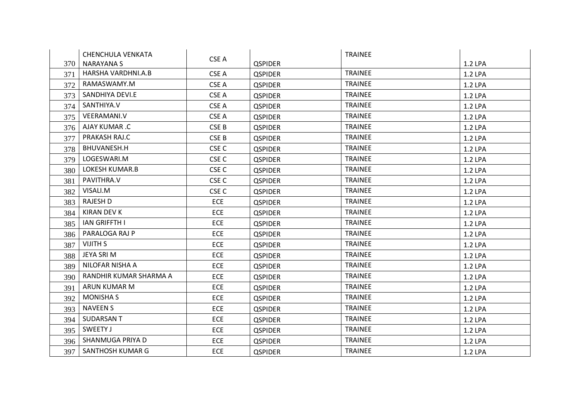|     | CHENCHULA VENKATA      |                  |                | <b>TRAINEE</b> |         |
|-----|------------------------|------------------|----------------|----------------|---------|
| 370 | <b>NARAYANA S</b>      | CSE A            | <b>QSPIDER</b> |                | 1.2 LPA |
| 371 | HARSHA VARDHNI.A.B     | CSE A            | <b>QSPIDER</b> | <b>TRAINEE</b> | 1.2 LPA |
| 372 | RAMASWAMY.M            | CSE A            | <b>QSPIDER</b> | <b>TRAINEE</b> | 1.2 LPA |
| 373 | SANDHIYA DEVI.E        | CSE A            | <b>QSPIDER</b> | <b>TRAINEE</b> | 1.2 LPA |
| 374 | SANTHIYA.V             | CSE A            | <b>QSPIDER</b> | <b>TRAINEE</b> | 1.2 LPA |
| 375 | <b>VEERAMANI.V</b>     | CSE A            | <b>QSPIDER</b> | <b>TRAINEE</b> | 1.2 LPA |
| 376 | AJAY KUMAR .C          | CSE B            | <b>QSPIDER</b> | <b>TRAINEE</b> | 1.2 LPA |
| 377 | PRAKASH RAJ.C          | CSE B            | <b>QSPIDER</b> | <b>TRAINEE</b> | 1.2 LPA |
| 378 | BHUVANESH.H            | CSE <sub>C</sub> | <b>QSPIDER</b> | <b>TRAINEE</b> | 1.2 LPA |
| 379 | LOGESWARI.M            | CSE <sub>C</sub> | <b>QSPIDER</b> | <b>TRAINEE</b> | 1.2 LPA |
| 380 | LOKESH KUMAR.B         | CSE <sub>C</sub> | <b>QSPIDER</b> | <b>TRAINEE</b> | 1.2 LPA |
| 381 | PAVITHRA.V             | CSE <sub>C</sub> | <b>QSPIDER</b> | <b>TRAINEE</b> | 1.2 LPA |
| 382 | VISALI.M               | CSE <sub>C</sub> | <b>QSPIDER</b> | <b>TRAINEE</b> | 1.2 LPA |
| 383 | RAJESH D               | <b>ECE</b>       | <b>QSPIDER</b> | <b>TRAINEE</b> | 1.2 LPA |
| 384 | <b>KIRAN DEV K</b>     | <b>ECE</b>       | <b>QSPIDER</b> | <b>TRAINEE</b> | 1.2 LPA |
| 385 | <b>IAN GRIFFTH I</b>   | <b>ECE</b>       | <b>QSPIDER</b> | <b>TRAINEE</b> | 1.2 LPA |
| 386 | PARALOGA RAJ P         | <b>ECE</b>       | <b>QSPIDER</b> | <b>TRAINEE</b> | 1.2 LPA |
| 387 | <b>VIJITH S</b>        | <b>ECE</b>       | <b>QSPIDER</b> | <b>TRAINEE</b> | 1.2 LPA |
| 388 | JEYA SRI M             | <b>ECE</b>       | <b>QSPIDER</b> | <b>TRAINEE</b> | 1.2 LPA |
| 389 | NILOFAR NISHA A        | <b>ECE</b>       | <b>QSPIDER</b> | <b>TRAINEE</b> | 1.2 LPA |
| 390 | RANDHIR KUMAR SHARMA A | <b>ECE</b>       | <b>QSPIDER</b> | <b>TRAINEE</b> | 1.2 LPA |
| 391 | ARUN KUMAR M           | <b>ECE</b>       | <b>QSPIDER</b> | <b>TRAINEE</b> | 1.2 LPA |
| 392 | <b>MONISHA S</b>       | <b>ECE</b>       | <b>QSPIDER</b> | <b>TRAINEE</b> | 1.2 LPA |
| 393 | <b>NAVEEN S</b>        | <b>ECE</b>       | <b>QSPIDER</b> | <b>TRAINEE</b> | 1.2 LPA |
| 394 | <b>SUDARSANT</b>       | ECE              | <b>QSPIDER</b> | <b>TRAINEE</b> | 1.2 LPA |
| 395 | SWEETY J               | <b>ECE</b>       | <b>QSPIDER</b> | <b>TRAINEE</b> | 1.2 LPA |
| 396 | SHANMUGA PRIYA D       | <b>ECE</b>       | <b>QSPIDER</b> | <b>TRAINEE</b> | 1.2 LPA |
| 397 | SANTHOSH KUMAR G       | <b>ECE</b>       | <b>QSPIDER</b> | <b>TRAINEE</b> | 1.2 LPA |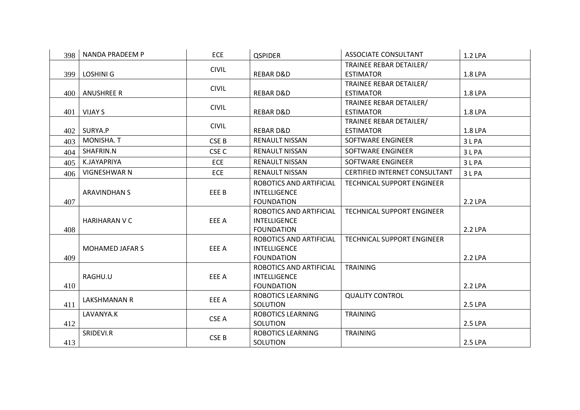| 398 | NANDA PRADEEM P        | <b>ECE</b>       | <b>QSPIDER</b>           | <b>ASSOCIATE CONSULTANT</b>          | 1.2 LPA |
|-----|------------------------|------------------|--------------------------|--------------------------------------|---------|
|     |                        | <b>CIVIL</b>     |                          | TRAINEE REBAR DETAILER/              |         |
| 399 | LOSHINI G              |                  | <b>REBARD&amp;D</b>      | <b>ESTIMATOR</b>                     | 1.8 LPA |
|     |                        | <b>CIVIL</b>     |                          | TRAINEE REBAR DETAILER/              |         |
| 400 | <b>ANUSHREE R</b>      |                  | <b>REBARD&amp;D</b>      | <b>ESTIMATOR</b>                     | 1.8 LPA |
|     |                        | <b>CIVIL</b>     |                          | TRAINEE REBAR DETAILER/              |         |
| 401 | <b>VIJAY S</b>         |                  | <b>REBARD&amp;D</b>      | <b>ESTIMATOR</b>                     | 1.8 LPA |
|     |                        | <b>CIVIL</b>     |                          | TRAINEE REBAR DETAILER/              |         |
| 402 | SURYA.P                |                  | <b>REBARD&amp;D</b>      | <b>ESTIMATOR</b>                     | 1.8 LPA |
| 403 | MONISHA. T             | CSE B            | <b>RENAULT NISSAN</b>    | SOFTWARE ENGINEER                    | 3 L PA  |
| 404 | SHAFRIN.N              | CSE <sub>C</sub> | <b>RENAULT NISSAN</b>    | SOFTWARE ENGINEER                    | 3LPA    |
| 405 | K.JAYAPRIYA            | <b>ECE</b>       | RENAULT NISSAN           | SOFTWARE ENGINEER                    | 3 L PA  |
| 406 | <b>VIGNESHWAR N</b>    | <b>ECE</b>       | <b>RENAULT NISSAN</b>    | <b>CERTIFIED INTERNET CONSULTANT</b> | 3 L PA  |
|     |                        |                  | ROBOTICS AND ARTIFICIAL  | <b>TECHNICAL SUPPORT ENGINEER</b>    |         |
|     | <b>ARAVINDHAN S</b>    | EEE B            | <b>INTELLIGENCE</b>      |                                      |         |
| 407 |                        |                  | <b>FOUNDATION</b>        |                                      | 2.2 LPA |
|     |                        |                  | ROBOTICS AND ARTIFICIAL  | TECHNICAL SUPPORT ENGINEER           |         |
|     | <b>HARIHARAN V C</b>   | EEE A            | <b>INTELLIGENCE</b>      |                                      |         |
| 408 |                        |                  | <b>FOUNDATION</b>        |                                      | 2.2 LPA |
|     |                        |                  | ROBOTICS AND ARTIFICIAL  | <b>TECHNICAL SUPPORT ENGINEER</b>    |         |
|     | <b>MOHAMED JAFAR S</b> | EEE A            | <b>INTELLIGENCE</b>      |                                      |         |
| 409 |                        |                  | <b>FOUNDATION</b>        |                                      | 2.2 LPA |
|     |                        |                  | ROBOTICS AND ARTIFICIAL  | <b>TRAINING</b>                      |         |
|     | RAGHU.U                | EEE A            | <b>INTELLIGENCE</b>      |                                      |         |
| 410 |                        |                  | <b>FOUNDATION</b>        |                                      | 2.2 LPA |
|     | LAKSHMANAN R           | EEE A            | ROBOTICS LEARNING        | <b>QUALITY CONTROL</b>               |         |
| 411 |                        |                  | SOLUTION                 |                                      | 2.5 LPA |
|     | LAVANYA.K              | CSE A            | ROBOTICS LEARNING        | <b>TRAINING</b>                      |         |
| 412 |                        |                  | SOLUTION                 |                                      | 2.5 LPA |
|     | SRIDEVI.R              | CSE B            | <b>ROBOTICS LEARNING</b> | <b>TRAINING</b>                      |         |
| 413 |                        |                  | SOLUTION                 |                                      | 2.5 LPA |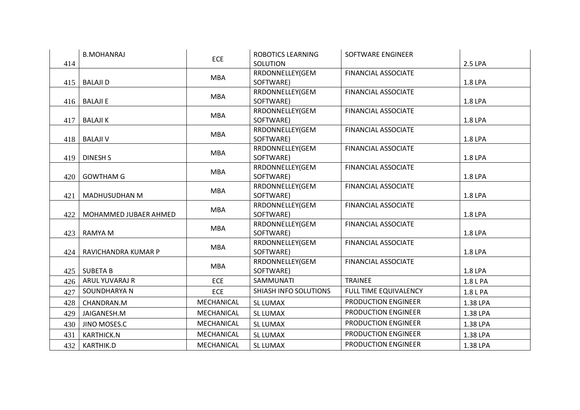|     | <b>B.MOHANRAJ</b>     | <b>ECE</b> | <b>ROBOTICS LEARNING</b> | <b>SOFTWARE ENGINEER</b>   |          |
|-----|-----------------------|------------|--------------------------|----------------------------|----------|
| 414 |                       |            | <b>SOLUTION</b>          |                            | 2.5 LPA  |
|     |                       | <b>MBA</b> | RRDONNELLEY(GEM          | <b>FINANCIAL ASSOCIATE</b> |          |
| 415 | <b>BALAJI D</b>       |            | SOFTWARE)                |                            | 1.8 LPA  |
|     |                       | <b>MBA</b> | RRDONNELLEY(GEM          | <b>FINANCIAL ASSOCIATE</b> |          |
| 416 | <b>BALAJI E</b>       |            | SOFTWARE)                |                            | 1.8 LPA  |
|     |                       | <b>MBA</b> | RRDONNELLEY(GEM          | <b>FINANCIAL ASSOCIATE</b> |          |
| 417 | <b>BALAJI K</b>       |            | SOFTWARE)                |                            | 1.8 LPA  |
|     |                       |            | RRDONNELLEY(GEM          | <b>FINANCIAL ASSOCIATE</b> |          |
| 418 | <b>BALAJI V</b>       | <b>MBA</b> | SOFTWARE)                |                            | 1.8 LPA  |
|     |                       | <b>MBA</b> | RRDONNELLEY(GEM          | <b>FINANCIAL ASSOCIATE</b> |          |
| 419 | <b>DINESH S</b>       |            | SOFTWARE)                |                            | 1.8 LPA  |
|     |                       |            | RRDONNELLEY(GEM          | <b>FINANCIAL ASSOCIATE</b> |          |
| 420 | <b>GOWTHAM G</b>      | <b>MBA</b> | SOFTWARE)                |                            | 1.8 LPA  |
|     |                       |            | RRDONNELLEY(GEM          | <b>FINANCIAL ASSOCIATE</b> |          |
| 421 | MADHUSUDHAN M         | <b>MBA</b> | SOFTWARE)                |                            | 1.8 LPA  |
|     |                       | <b>MBA</b> | RRDONNELLEY(GEM          | <b>FINANCIAL ASSOCIATE</b> |          |
| 422 | MOHAMMED JUBAER AHMED |            | SOFTWARE)                |                            | 1.8 LPA  |
|     |                       | <b>MBA</b> | RRDONNELLEY(GEM          | <b>FINANCIAL ASSOCIATE</b> |          |
| 423 | <b>RAMYA M</b>        |            | SOFTWARE)                |                            | 1.8 LPA  |
|     |                       | <b>MBA</b> | RRDONNELLEY(GEM          | <b>FINANCIAL ASSOCIATE</b> |          |
| 424 | RAVICHANDRA KUMAR P   |            | SOFTWARE)                |                            | 1.8 LPA  |
|     |                       | <b>MBA</b> | RRDONNELLEY(GEM          | <b>FINANCIAL ASSOCIATE</b> |          |
| 425 | <b>SUBETA B</b>       |            | SOFTWARE)                |                            | 1.8 LPA  |
| 426 | ARUL YUVARAJ R        | <b>ECE</b> | SAMMUNATI                | <b>TRAINEE</b>             | 1.8 L PA |
| 427 | SOUNDHARYA N          | <b>ECE</b> | SHIASH INFO SOLUTIONS    | FULL TIME EQUIVALENCY      | 1.8 L PA |
| 428 | CHANDRAN.M            | MECHANICAL | <b>SL LUMAX</b>          | <b>PRODUCTION ENGINEER</b> | 1.38 LPA |
| 429 | JAIGANESH.M           | MECHANICAL | <b>SL LUMAX</b>          | <b>PRODUCTION ENGINEER</b> | 1.38 LPA |
| 430 | JINO MOSES.C          | MECHANICAL | <b>SL LUMAX</b>          | <b>PRODUCTION ENGINEER</b> | 1.38 LPA |
| 431 | <b>KARTHICK.N</b>     | MECHANICAL | <b>SL LUMAX</b>          | PRODUCTION ENGINEER        | 1.38 LPA |
| 432 | KARTHIK.D             | MECHANICAL | SL LUMAX                 | PRODUCTION ENGINEER        | 1.38 LPA |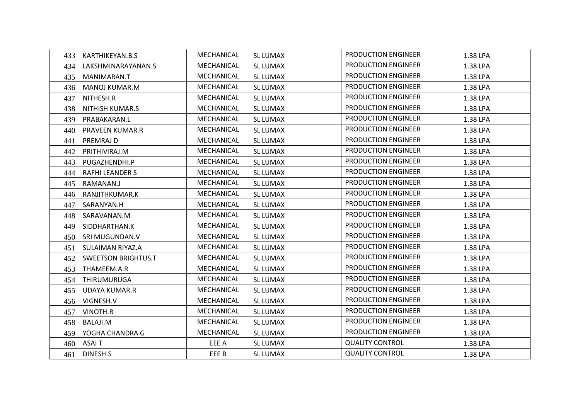| 433 | KARTHIKEYAN.B.S            | MECHANICAL | SL LUMAX        | PRODUCTION ENGINEER        | 1.38 LPA |
|-----|----------------------------|------------|-----------------|----------------------------|----------|
| 434 | LAKSHMINARAYANAN.S         | MECHANICAL | <b>SL LUMAX</b> | PRODUCTION ENGINEER        | 1.38 LPA |
| 435 | MANIMARAN.T                | MECHANICAL | <b>SL LUMAX</b> | <b>PRODUCTION ENGINEER</b> | 1.38 LPA |
| 436 | MANOJ KUMAR.M              | MECHANICAL | <b>SL LUMAX</b> | PRODUCTION ENGINEER        | 1.38 LPA |
| 437 | NITHESH.R                  | MECHANICAL | <b>SL LUMAX</b> | PRODUCTION ENGINEER        | 1.38 LPA |
| 438 | NITHISH KUMAR.S            | MECHANICAL | <b>SL LUMAX</b> | PRODUCTION ENGINEER        | 1.38 LPA |
| 439 | PRABAKARAN.L               | MECHANICAL | <b>SL LUMAX</b> | PRODUCTION ENGINEER        | 1.38 LPA |
| 440 | PRAVEEN KUMAR.R            | MECHANICAL | <b>SL LUMAX</b> | <b>PRODUCTION ENGINEER</b> | 1.38 LPA |
| 441 | PREMRAJ D                  | MECHANICAL | <b>SL LUMAX</b> | PRODUCTION ENGINEER        | 1.38 LPA |
| 442 | PRITHIVIRAJ.M              | MECHANICAL | <b>SL LUMAX</b> | PRODUCTION ENGINEER        | 1.38 LPA |
| 443 | PUGAZHENDHI.P              | MECHANICAL | <b>SL LUMAX</b> | <b>PRODUCTION ENGINEER</b> | 1.38 LPA |
| 444 | <b>RAFHI LEANDER S</b>     | MECHANICAL | <b>SL LUMAX</b> | PRODUCTION ENGINEER        | 1.38 LPA |
| 445 | RAMANAN.J                  | MECHANICAL | <b>SL LUMAX</b> | <b>PRODUCTION ENGINEER</b> | 1.38 LPA |
| 446 | RANJITHKUMAR.K             | MECHANICAL | <b>SL LUMAX</b> | PRODUCTION ENGINEER        | 1.38 LPA |
| 447 | SARANYAN.H                 | MECHANICAL | <b>SL LUMAX</b> | PRODUCTION ENGINEER        | 1.38 LPA |
| 448 | SARAVANAN.M                | MECHANICAL | SL LUMAX        | <b>PRODUCTION ENGINEER</b> | 1.38 LPA |
| 449 | SIDDHARTHAN.K              | MECHANICAL | <b>SL LUMAX</b> | PRODUCTION ENGINEER        | 1.38 LPA |
| 450 | SRI MUGUNDAN.V             | MECHANICAL | SL LUMAX        | <b>PRODUCTION ENGINEER</b> | 1.38 LPA |
| 451 | SULAIMAN RIYAZ.A           | MECHANICAL | <b>SL LUMAX</b> | PRODUCTION ENGINEER        | 1.38 LPA |
| 452 | <b>SWEETSON BRIGHTUS.T</b> | MECHANICAL | <b>SL LUMAX</b> | PRODUCTION ENGINEER        | 1.38 LPA |
| 453 | THAMEEM.A.R                | MECHANICAL | <b>SL LUMAX</b> | PRODUCTION ENGINEER        | 1.38 LPA |
| 454 | THIRUMURUGA                | MECHANICAL | SL LUMAX        | <b>PRODUCTION ENGINEER</b> | 1.38 LPA |
| 455 | <b>UDAYA KUMAR.R</b>       | MECHANICAL | <b>SL LUMAX</b> | <b>PRODUCTION ENGINEER</b> | 1.38 LPA |
| 456 | VIGNESH.V                  | MECHANICAL | <b>SL LUMAX</b> | <b>PRODUCTION ENGINEER</b> | 1.38 LPA |
| 457 | VINOTH.R                   | MECHANICAL | <b>SL LUMAX</b> | PRODUCTION ENGINEER        | 1.38 LPA |
| 458 | BALAJI.M                   | MECHANICAL | <b>SL LUMAX</b> | PRODUCTION ENGINEER        | 1.38 LPA |
| 459 | YOGHA CHANDRA G            | MECHANICAL | <b>SL LUMAX</b> | <b>PRODUCTION ENGINEER</b> | 1.38 LPA |
| 460 | <b>ASAIT</b>               | EEE A      | SL LUMAX        | <b>QUALITY CONTROL</b>     | 1.38 LPA |
| 461 | DINESH.S                   | EEE B      | <b>SL LUMAX</b> | <b>QUALITY CONTROL</b>     | 1.38 LPA |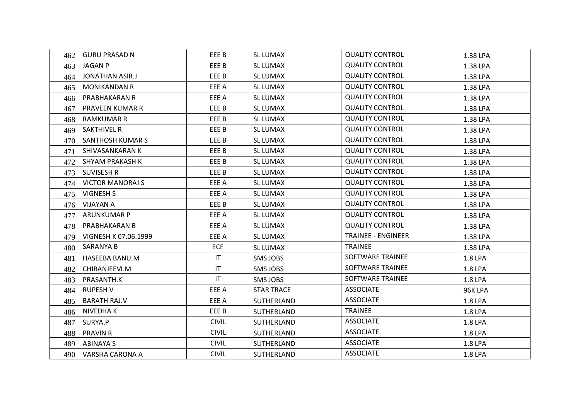| 462 | <b>GURU PRASAD N</b>    | EEE B                  | SL LUMAX          | <b>QUALITY CONTROL</b>    | 1.38 LPA |
|-----|-------------------------|------------------------|-------------------|---------------------------|----------|
| 463 | <b>JAGAN P</b>          | EEE B                  | <b>SL LUMAX</b>   | <b>QUALITY CONTROL</b>    | 1.38 LPA |
| 464 | JONATHAN ASIR.J         | EEE B                  | SL LUMAX          | <b>QUALITY CONTROL</b>    | 1.38 LPA |
| 465 | MONIKANDAN R            | EEE A                  | SL LUMAX          | <b>QUALITY CONTROL</b>    | 1.38 LPA |
| 466 | PRABHAKARAN R           | EEE A                  | SL LUMAX          | <b>QUALITY CONTROL</b>    | 1.38 LPA |
| 467 | PRAVEEN KUMAR R         | EEE B                  | SL LUMAX          | <b>QUALITY CONTROL</b>    | 1.38 LPA |
| 468 | RAMKUMAR R              | EEE B                  | <b>SL LUMAX</b>   | <b>QUALITY CONTROL</b>    | 1.38 LPA |
| 469 | <b>SAKTHIVEL R</b>      | EEE B                  | SL LUMAX          | <b>QUALITY CONTROL</b>    | 1.38 LPA |
| 470 | <b>SANTHOSH KUMAR S</b> | EEE B                  | <b>SL LUMAX</b>   | <b>QUALITY CONTROL</b>    | 1.38 LPA |
| 471 | SHIVASANKARAN K         | EEE B                  | SL LUMAX          | <b>QUALITY CONTROL</b>    | 1.38 LPA |
| 472 | SHYAM PRAKASH K         | EEE B                  | SL LUMAX          | <b>QUALITY CONTROL</b>    | 1.38 LPA |
| 473 | <b>SUVISESH R</b>       | EEE B                  | <b>SL LUMAX</b>   | <b>QUALITY CONTROL</b>    | 1.38 LPA |
| 474 | <b>VICTOR MANORAJ S</b> | EEE A                  | <b>SL LUMAX</b>   | <b>QUALITY CONTROL</b>    | 1.38 LPA |
| 475 | VIGNESH S               | EEE A                  | <b>SL LUMAX</b>   | <b>QUALITY CONTROL</b>    | 1.38 LPA |
| 476 | VIJAYAN A               | EEE B                  | SL LUMAX          | <b>QUALITY CONTROL</b>    | 1.38 LPA |
| 477 | <b>ARUNKUMAR P</b>      | EEE A                  | SL LUMAX          | <b>QUALITY CONTROL</b>    | 1.38 LPA |
| 478 | PRABHAKARAN B           | EEE A                  | SL LUMAX          | <b>QUALITY CONTROL</b>    | 1.38 LPA |
| 479 | VIGNESH K 07.06.1999    | EEE A                  | SL LUMAX          | <b>TRAINEE - ENGINEER</b> | 1.38 LPA |
| 480 | SARANYA B               | <b>ECE</b>             | <b>SL LUMAX</b>   | <b>TRAINEE</b>            | 1.38 LPA |
| 481 | HASEEBA BANU.M          | IT.                    | SMS JOBS          | <b>SOFTWARE TRAINEE</b>   | 1.8 LPA  |
| 482 | CHIRANJEEVI.M           | $\mathsf{I}\mathsf{T}$ | SMS JOBS          | <b>SOFTWARE TRAINEE</b>   | 1.8 LPA  |
| 483 | PRASANTH.K              | IT                     | SMS JOBS          | SOFTWARE TRAINEE          | 1.8 LPA  |
| 484 | RUPESH V                | EEE A                  | <b>STAR TRACE</b> | <b>ASSOCIATE</b>          | 96K LPA  |
| 485 | <b>BARATH RAJ.V</b>     | EEE A                  | SUTHERLAND        | <b>ASSOCIATE</b>          | 1.8 LPA  |
| 486 | NIVEDHA K               | EEE B                  | SUTHERLAND        | <b>TRAINEE</b>            | 1.8 LPA  |
| 487 | SURYA.P                 | <b>CIVIL</b>           | SUTHERLAND        | <b>ASSOCIATE</b>          | 1.8 LPA  |
| 488 | <b>PRAVIN R</b>         | <b>CIVIL</b>           | <b>SUTHERLAND</b> | <b>ASSOCIATE</b>          | 1.8 LPA  |
| 489 | ABINAYA S               | <b>CIVIL</b>           | SUTHERLAND        | <b>ASSOCIATE</b>          | 1.8 LPA  |
| 490 | VARSHA CARONA A         | <b>CIVIL</b>           | SUTHERLAND        | <b>ASSOCIATE</b>          | 1.8 LPA  |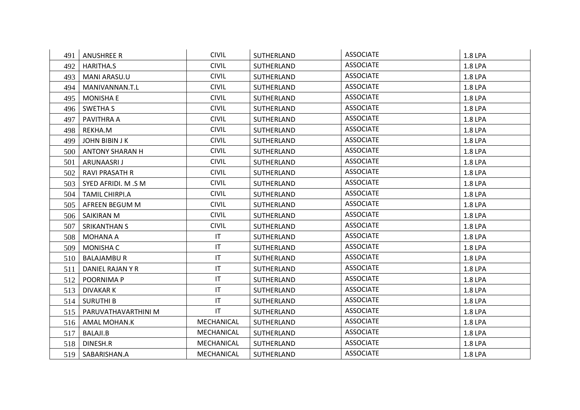| 491 | ANUSHREE R             | <b>CIVIL</b>           | SUTHERLAND | <b>ASSOCIATE</b> | <b>1.8 LPA</b> |
|-----|------------------------|------------------------|------------|------------------|----------------|
| 492 | HARITHA.S              | <b>CIVIL</b>           | SUTHERLAND | <b>ASSOCIATE</b> | 1.8 LPA        |
| 493 | <b>MANI ARASU.U</b>    | <b>CIVIL</b>           | SUTHERLAND | <b>ASSOCIATE</b> | 1.8 LPA        |
| 494 | MANIVANNAN.T.L         | <b>CIVIL</b>           | SUTHERLAND | <b>ASSOCIATE</b> | 1.8 LPA        |
| 495 | <b>MONISHA E</b>       | <b>CIVIL</b>           | SUTHERLAND | <b>ASSOCIATE</b> | 1.8 LPA        |
| 496 | <b>SWETHA S</b>        | <b>CIVIL</b>           | SUTHERLAND | <b>ASSOCIATE</b> | 1.8 LPA        |
| 497 | PAVITHRA A             | <b>CIVIL</b>           | SUTHERLAND | <b>ASSOCIATE</b> | 1.8 LPA        |
| 498 | REKHA.M                | <b>CIVIL</b>           | SUTHERLAND | <b>ASSOCIATE</b> | 1.8 LPA        |
| 499 | <b>JOHN BIBIN J K</b>  | <b>CIVIL</b>           | SUTHERLAND | <b>ASSOCIATE</b> | 1.8 LPA        |
| 500 | <b>ANTONY SHARAN H</b> | <b>CIVIL</b>           | SUTHERLAND | <b>ASSOCIATE</b> | 1.8 LPA        |
| 501 | ARUNAASRI J            | <b>CIVIL</b>           | SUTHERLAND | <b>ASSOCIATE</b> | 1.8 LPA        |
| 502 | <b>RAVI PRASATH R</b>  | <b>CIVIL</b>           | SUTHERLAND | <b>ASSOCIATE</b> | 1.8 LPA        |
| 503 | SYED AFRIDI. M .S M    | <b>CIVIL</b>           | SUTHERLAND | <b>ASSOCIATE</b> | 1.8 LPA        |
| 504 | TAMIL CHIRPI.A         | <b>CIVIL</b>           | SUTHERLAND | <b>ASSOCIATE</b> | 1.8 LPA        |
| 505 | AFREEN BEGUM M         | <b>CIVIL</b>           | SUTHERLAND | <b>ASSOCIATE</b> | 1.8 LPA        |
| 506 | SAIKIRAN M             | <b>CIVIL</b>           | SUTHERLAND | <b>ASSOCIATE</b> | 1.8 LPA        |
| 507 | <b>SRIKANTHAN S</b>    | <b>CIVIL</b>           | SUTHERLAND | <b>ASSOCIATE</b> | 1.8 LPA        |
| 508 | MOHANA A               | $\mathsf{I}\mathsf{T}$ | SUTHERLAND | <b>ASSOCIATE</b> | 1.8 LPA        |
| 509 | <b>MONISHA C</b>       | $\mathsf{I}\mathsf{T}$ | SUTHERLAND | <b>ASSOCIATE</b> | 1.8 LPA        |
| 510 | <b>BALAJAMBU R</b>     | $\mathsf{I}\mathsf{T}$ | SUTHERLAND | <b>ASSOCIATE</b> | 1.8 LPA        |
| 511 | DANIEL RAJAN Y R       | $\mathsf{I}\mathsf{T}$ | SUTHERLAND | <b>ASSOCIATE</b> | 1.8 LPA        |
| 512 | POORNIMA P             | IT                     | SUTHERLAND | <b>ASSOCIATE</b> | 1.8 LPA        |
| 513 | <b>DIVAKAR K</b>       | $\mathsf{I}\mathsf{T}$ | SUTHERLAND | <b>ASSOCIATE</b> | 1.8 LPA        |
| 514 | <b>SURUTHI B</b>       | $\mathsf{I}\mathsf{T}$ | SUTHERLAND | <b>ASSOCIATE</b> | 1.8 LPA        |
| 515 | PARUVATHAVARTHINI M    | $\mathsf{I}\mathsf{T}$ | SUTHERLAND | <b>ASSOCIATE</b> | 1.8 LPA        |
| 516 | AMAL MOHAN.K           | MECHANICAL             | SUTHERLAND | <b>ASSOCIATE</b> | 1.8 LPA        |
| 517 | BALAJI.B               | MECHANICAL             | SUTHERLAND | <b>ASSOCIATE</b> | 1.8 LPA        |
| 518 | DINESH.R               | MECHANICAL             | SUTHERLAND | <b>ASSOCIATE</b> | 1.8 LPA        |
| 519 | SABARISHAN.A           | MECHANICAL             | SUTHERLAND | <b>ASSOCIATE</b> | 1.8 LPA        |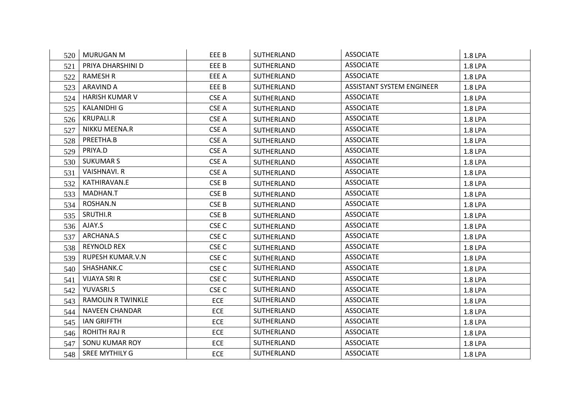| 520 | <b>MURUGAN M</b>         | EEE B            | SUTHERLAND | <b>ASSOCIATE</b>                 | 1.8 LPA |
|-----|--------------------------|------------------|------------|----------------------------------|---------|
| 521 | PRIYA DHARSHINI D        | EEE B            | SUTHERLAND | <b>ASSOCIATE</b>                 | 1.8 LPA |
| 522 | RAMESH R                 | EEE A            | SUTHERLAND | <b>ASSOCIATE</b>                 | 1.8 LPA |
| 523 | ARAVIND A                | EEE B            | SUTHERLAND | <b>ASSISTANT SYSTEM ENGINEER</b> | 1.8 LPA |
| 524 | <b>HARISH KUMAR V</b>    | CSE A            | SUTHERLAND | <b>ASSOCIATE</b>                 | 1.8 LPA |
| 525 | <b>KALANIDHI G</b>       | CSE A            | SUTHERLAND | <b>ASSOCIATE</b>                 | 1.8 LPA |
| 526 | KRUPALI.R                | CSE A            | SUTHERLAND | <b>ASSOCIATE</b>                 | 1.8 LPA |
| 527 | NIKKU MEENA.R            | CSE A            | SUTHERLAND | <b>ASSOCIATE</b>                 | 1.8 LPA |
| 528 | PREETHA.B                | CSE A            | SUTHERLAND | <b>ASSOCIATE</b>                 | 1.8 LPA |
| 529 | PRIYA.D                  | CSE A            | SUTHERLAND | <b>ASSOCIATE</b>                 | 1.8 LPA |
| 530 | <b>SUKUMAR S</b>         | CSE A            | SUTHERLAND | <b>ASSOCIATE</b>                 | 1.8 LPA |
| 531 | <b>VAISHNAVI. R</b>      | CSE A            | SUTHERLAND | <b>ASSOCIATE</b>                 | 1.8 LPA |
| 532 | KATHIRAVAN.E             | CSE B            | SUTHERLAND | <b>ASSOCIATE</b>                 | 1.8 LPA |
| 533 | MADHAN.T                 | CSE B            | SUTHERLAND | <b>ASSOCIATE</b>                 | 1.8 LPA |
| 534 | ROSHAN.N                 | CSE B            | SUTHERLAND | <b>ASSOCIATE</b>                 | 1.8 LPA |
| 535 | SRUTHI.R                 | CSE B            | SUTHERLAND | <b>ASSOCIATE</b>                 | 1.8 LPA |
| 536 | AJAY.S                   | CSE <sub>C</sub> | SUTHERLAND | <b>ASSOCIATE</b>                 | 1.8 LPA |
| 537 | ARCHANA.S                | CSE <sub>C</sub> | SUTHERLAND | <b>ASSOCIATE</b>                 | 1.8 LPA |
| 538 | <b>REYNOLD REX</b>       | CSE <sub>C</sub> | SUTHERLAND | <b>ASSOCIATE</b>                 | 1.8 LPA |
| 539 | <b>RUPESH KUMAR.V.N</b>  | CSE <sub>C</sub> | SUTHERLAND | <b>ASSOCIATE</b>                 | 1.8 LPA |
| 540 | SHASHANK.C               | CSE <sub>C</sub> | SUTHERLAND | <b>ASSOCIATE</b>                 | 1.8 LPA |
| 541 | <b>VIJAYA SRI R</b>      | CSE <sub>C</sub> | SUTHERLAND | <b>ASSOCIATE</b>                 | 1.8 LPA |
| 542 | YUVASRI.S                | CSE <sub>C</sub> | SUTHERLAND | <b>ASSOCIATE</b>                 | 1.8 LPA |
| 543 | <b>RAMOLIN R TWINKLE</b> | <b>ECE</b>       | SUTHERLAND | <b>ASSOCIATE</b>                 | 1.8 LPA |
| 544 | <b>NAVEEN CHANDAR</b>    | <b>ECE</b>       | SUTHERLAND | <b>ASSOCIATE</b>                 | 1.8 LPA |
| 545 | <b>IAN GRIFFTH</b>       | <b>ECE</b>       | SUTHERLAND | <b>ASSOCIATE</b>                 | 1.8 LPA |
| 546 | <b>ROHITH RAJ R</b>      | <b>ECE</b>       | SUTHERLAND | <b>ASSOCIATE</b>                 | 1.8 LPA |
| 547 | SONU KUMAR ROY           | <b>ECE</b>       | SUTHERLAND | <b>ASSOCIATE</b>                 | 1.8 LPA |
| 548 | SREE MYTHILY G           | <b>ECE</b>       | SUTHERLAND | <b>ASSOCIATE</b>                 | 1.8 LPA |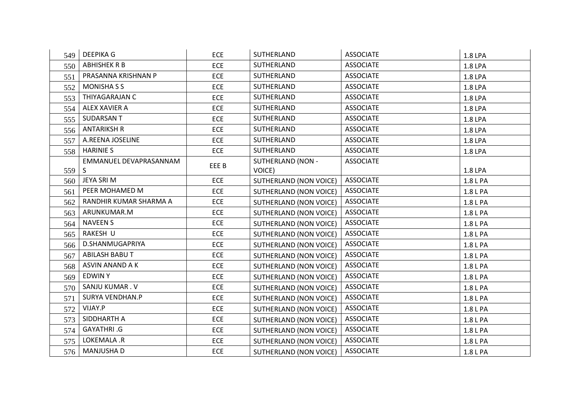| 549 | <b>DEEPIKA G</b>       | <b>ECE</b> | SUTHERLAND               | <b>ASSOCIATE</b> | 1.8 LPA  |
|-----|------------------------|------------|--------------------------|------------------|----------|
| 550 | <b>ABHISHEK R B</b>    | <b>ECE</b> | SUTHERLAND               | <b>ASSOCIATE</b> | 1.8 LPA  |
| 551 | PRASANNA KRISHNAN P    | <b>ECE</b> | SUTHERLAND               | <b>ASSOCIATE</b> | 1.8 LPA  |
| 552 | <b>MONISHA S S</b>     | <b>ECE</b> | SUTHERLAND               | <b>ASSOCIATE</b> | 1.8 LPA  |
| 553 | THIYAGARAJAN C         | <b>ECE</b> | SUTHERLAND               | <b>ASSOCIATE</b> | 1.8 LPA  |
| 554 | ALEX XAVIER A          | <b>ECE</b> | SUTHERLAND               | <b>ASSOCIATE</b> | 1.8 LPA  |
| 555 | <b>SUDARSANT</b>       | <b>ECE</b> | SUTHERLAND               | <b>ASSOCIATE</b> | 1.8 LPA  |
| 556 | <b>ANTARIKSH R</b>     | <b>ECE</b> | SUTHERLAND               | <b>ASSOCIATE</b> | 1.8 LPA  |
| 557 | A.REENA JOSELINE       | <b>ECE</b> | SUTHERLAND               | <b>ASSOCIATE</b> | 1.8 LPA  |
| 558 | <b>HARINIE S</b>       | <b>ECE</b> | SUTHERLAND               | <b>ASSOCIATE</b> | 1.8 LPA  |
|     | EMMANUEL DEVAPRASANNAM | EEE B      | <b>SUTHERLAND (NON -</b> | <b>ASSOCIATE</b> |          |
| 559 | S.                     |            | VOICE)                   |                  | 1.8 LPA  |
| 560 | JEYA SRI M             | <b>ECE</b> | SUTHERLAND (NON VOICE)   | <b>ASSOCIATE</b> | 1.8 L PA |
| 561 | PEER MOHAMED M         | <b>ECE</b> | SUTHERLAND (NON VOICE)   | <b>ASSOCIATE</b> | 1.8 L PA |
| 562 | RANDHIR KUMAR SHARMA A | <b>ECE</b> | SUTHERLAND (NON VOICE)   | <b>ASSOCIATE</b> | 1.8 L PA |
| 563 | ARUNKUMAR.M            | <b>ECE</b> | SUTHERLAND (NON VOICE)   | <b>ASSOCIATE</b> | 1.8 L PA |
| 564 | <b>NAVEEN S</b>        | <b>ECE</b> | SUTHERLAND (NON VOICE)   | <b>ASSOCIATE</b> | 1.8 L PA |
| 565 | RAKESH U               | <b>ECE</b> | SUTHERLAND (NON VOICE)   | <b>ASSOCIATE</b> | 1.8 L PA |
| 566 | D.SHANMUGAPRIYA        | <b>ECE</b> | SUTHERLAND (NON VOICE)   | <b>ASSOCIATE</b> | 1.8 L PA |
| 567 | <b>ABILASH BABU T</b>  | <b>ECE</b> | SUTHERLAND (NON VOICE)   | <b>ASSOCIATE</b> | 1.8 L PA |
| 568 | ASVIN ANAND A K        | <b>ECE</b> | SUTHERLAND (NON VOICE)   | <b>ASSOCIATE</b> | 1.8 L PA |
| 569 | EDWIN Y                | <b>ECE</b> | SUTHERLAND (NON VOICE)   | <b>ASSOCIATE</b> | 1.8 L PA |
| 570 | SANJU KUMAR. V         | <b>ECE</b> | SUTHERLAND (NON VOICE)   | <b>ASSOCIATE</b> | 1.8 L PA |
| 571 | <b>SURYA VENDHAN.P</b> | <b>ECE</b> | SUTHERLAND (NON VOICE)   | <b>ASSOCIATE</b> | 1.8 L PA |
| 572 | VIJAY.P                | <b>ECE</b> | SUTHERLAND (NON VOICE)   | <b>ASSOCIATE</b> | 1.8 L PA |
| 573 | SIDDHARTH A            | <b>ECE</b> | SUTHERLAND (NON VOICE)   | <b>ASSOCIATE</b> | 1.8 L PA |
| 574 | GAYATHRI .G            | <b>ECE</b> | SUTHERLAND (NON VOICE)   | <b>ASSOCIATE</b> | 1.8 L PA |
| 575 | LOKEMALA .R            | <b>ECE</b> | SUTHERLAND (NON VOICE)   | <b>ASSOCIATE</b> | 1.8 L PA |
| 576 | <b>MANJUSHA D</b>      | <b>ECE</b> | SUTHERLAND (NON VOICE)   | <b>ASSOCIATE</b> | 1.8 L PA |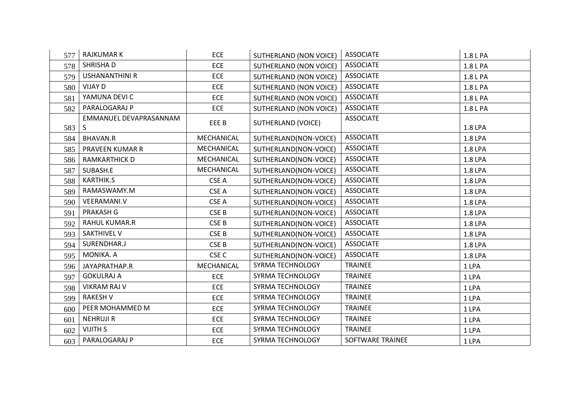| 577 | <b>RAJKUMARK</b>            | <b>ECE</b>       | SUTHERLAND (NON VOICE)        | <b>ASSOCIATE</b> | 1.8 L PA |
|-----|-----------------------------|------------------|-------------------------------|------------------|----------|
| 578 | SHRISHA D                   | <b>ECE</b>       | SUTHERLAND (NON VOICE)        | <b>ASSOCIATE</b> | 1.8 L PA |
| 579 | <b>USHANANTHINI R</b>       | <b>ECE</b>       | SUTHERLAND (NON VOICE)        | <b>ASSOCIATE</b> | 1.8 L PA |
| 580 | VIJAY D                     | <b>ECE</b>       | SUTHERLAND (NON VOICE)        | <b>ASSOCIATE</b> | 1.8 L PA |
| 581 | YAMUNA DEVI C               | <b>ECE</b>       | SUTHERLAND (NON VOICE)        | <b>ASSOCIATE</b> | 1.8 L PA |
| 582 | PARALOGARAJ P               | <b>ECE</b>       | <b>SUTHERLAND (NON VOICE)</b> | <b>ASSOCIATE</b> | 1.8 L PA |
| 583 | EMMANUEL DEVAPRASANNAM<br>S | EEE B            | SUTHERLAND (VOICE)            | <b>ASSOCIATE</b> | 1.8 LPA  |
| 584 | <b>BHAVAN.R</b>             | MECHANICAL       | SUTHERLAND(NON-VOICE)         | <b>ASSOCIATE</b> | 1.8 LPA  |
| 585 | PRAVEEN KUMAR R             | MECHANICAL       | SUTHERLAND(NON-VOICE)         | <b>ASSOCIATE</b> | 1.8 LPA  |
| 586 | <b>RAMKARTHICK D</b>        | MECHANICAL       | SUTHERLAND(NON-VOICE)         | <b>ASSOCIATE</b> | 1.8 LPA  |
| 587 | SUBASH.E                    | MECHANICAL       | SUTHERLAND(NON-VOICE)         | <b>ASSOCIATE</b> | 1.8 LPA  |
| 588 | KARTHIK.S                   | CSE A            | SUTHERLAND(NON-VOICE)         | <b>ASSOCIATE</b> | 1.8 LPA  |
| 589 | RAMASWAMY.M                 | CSE A            | SUTHERLAND(NON-VOICE)         | <b>ASSOCIATE</b> | 1.8 LPA  |
| 590 | <b>VEERAMANI.V</b>          | CSE A            | SUTHERLAND(NON-VOICE)         | <b>ASSOCIATE</b> | 1.8 LPA  |
| 591 | <b>PRAKASH G</b>            | CSE B            | SUTHERLAND(NON-VOICE)         | <b>ASSOCIATE</b> | 1.8 LPA  |
| 592 | <b>RAHUL KUMAR.R</b>        | CSE B            | SUTHERLAND(NON-VOICE)         | <b>ASSOCIATE</b> | 1.8 LPA  |
| 593 | <b>SAKTHIVEL V</b>          | CSE B            | SUTHERLAND(NON-VOICE)         | <b>ASSOCIATE</b> | 1.8 LPA  |
| 594 | SURENDHAR.J                 | CSE B            | SUTHERLAND(NON-VOICE)         | <b>ASSOCIATE</b> | 1.8 LPA  |
| 595 | MONIKA. A                   | CSE <sub>C</sub> | SUTHERLAND(NON-VOICE)         | <b>ASSOCIATE</b> | 1.8 LPA  |
| 596 | JAYAPRATHAP.R               | MECHANICAL       | SYRMA TECHNOLOGY              | <b>TRAINEE</b>   | 1 LPA    |
| 597 | <b>GOKULRAJ A</b>           | <b>ECE</b>       | SYRMA TECHNOLOGY              | <b>TRAINEE</b>   | 1 LPA    |
| 598 | <b>VIKRAM RAJ V</b>         | <b>ECE</b>       | SYRMA TECHNOLOGY              | <b>TRAINEE</b>   | 1 LPA    |
| 599 | <b>RAKESH V</b>             | <b>ECE</b>       | SYRMA TECHNOLOGY              | <b>TRAINEE</b>   | 1 LPA    |
| 600 | PEER MOHAMMED M             | <b>ECE</b>       | SYRMA TECHNOLOGY              | <b>TRAINEE</b>   | 1 LPA    |
| 601 | <b>NEHRUJI R</b>            | <b>ECE</b>       | SYRMA TECHNOLOGY              | TRAINEE          | 1 LPA    |
| 602 | <b>VIJITH S</b>             | <b>ECE</b>       | SYRMA TECHNOLOGY              | <b>TRAINEE</b>   | 1 LPA    |
| 603 | PARALOGARAJ P               | <b>ECE</b>       | SYRMA TECHNOLOGY              | SOFTWARE TRAINEE | 1 LPA    |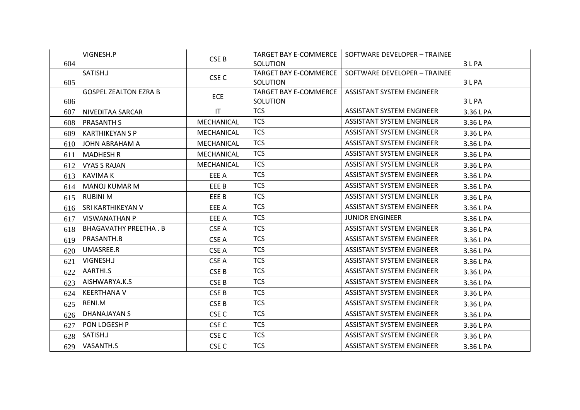|     | VIGNESH.P                    | CSE B             | <b>TARGET BAY E-COMMERCE</b> | SOFTWARE DEVELOPER - TRAINEE     |           |
|-----|------------------------------|-------------------|------------------------------|----------------------------------|-----------|
| 604 |                              |                   | SOLUTION                     |                                  | 3 L PA    |
|     | SATISH.J                     | CSE <sub>C</sub>  | TARGET BAY E-COMMERCE        | SOFTWARE DEVELOPER - TRAINEE     |           |
| 605 |                              |                   | SOLUTION                     |                                  | 3 L PA    |
|     | <b>GOSPEL ZEALTON EZRA B</b> | <b>ECE</b>        | TARGET BAY E-COMMERCE        | <b>ASSISTANT SYSTEM ENGINEER</b> |           |
| 606 |                              |                   | SOLUTION                     |                                  | 3 L PA    |
| 607 | NIVEDITAA SARCAR             | IT                | <b>TCS</b>                   | <b>ASSISTANT SYSTEM ENGINEER</b> | 3.36 L PA |
| 608 | <b>PRASANTH S</b>            | MECHANICAL        | <b>TCS</b>                   | <b>ASSISTANT SYSTEM ENGINEER</b> | 3.36 L PA |
| 609 | <b>KARTHIKEYAN S P</b>       | MECHANICAL        | <b>TCS</b>                   | <b>ASSISTANT SYSTEM ENGINEER</b> | 3.36 L PA |
| 610 | JOHN ABRAHAM A               | <b>MECHANICAL</b> | <b>TCS</b>                   | <b>ASSISTANT SYSTEM ENGINEER</b> | 3.36 L PA |
| 611 | MADHESH R                    | MECHANICAL        | <b>TCS</b>                   | <b>ASSISTANT SYSTEM ENGINEER</b> | 3.36 L PA |
| 612 | <b>VYAS S RAJAN</b>          | MECHANICAL        | <b>TCS</b>                   | <b>ASSISTANT SYSTEM ENGINEER</b> | 3.36 L PA |
| 613 | KAVIMA K                     | EEE A             | <b>TCS</b>                   | <b>ASSISTANT SYSTEM ENGINEER</b> | 3.36 L PA |
| 614 | MANOJ KUMAR M                | EEE B             | <b>TCS</b>                   | <b>ASSISTANT SYSTEM ENGINEER</b> | 3.36 L PA |
| 615 | <b>RUBINI M</b>              | EEE B             | <b>TCS</b>                   | <b>ASSISTANT SYSTEM ENGINEER</b> | 3.36 L PA |
| 616 | SRI KARTHIKEYAN V            | EEE A             | <b>TCS</b>                   | <b>ASSISTANT SYSTEM ENGINEER</b> | 3.36 L PA |
| 617 | <b>VISWANATHAN P</b>         | EEE A             | <b>TCS</b>                   | <b>JUNIOR ENGINEER</b>           | 3.36 L PA |
| 618 | BHAGAVATHY PREETHA . B       | CSE A             | <b>TCS</b>                   | <b>ASSISTANT SYSTEM ENGINEER</b> | 3.36 L PA |
| 619 | PRASANTH.B                   | CSE A             | <b>TCS</b>                   | <b>ASSISTANT SYSTEM ENGINEER</b> | 3.36 L PA |
| 620 | UMASREE.R                    | CSE A             | <b>TCS</b>                   | <b>ASSISTANT SYSTEM ENGINEER</b> | 3.36 L PA |
| 621 | VIGNESH.J                    | CSE A             | <b>TCS</b>                   | <b>ASSISTANT SYSTEM ENGINEER</b> | 3.36 L PA |
| 622 | AARTHI.S                     | CSE B             | <b>TCS</b>                   | <b>ASSISTANT SYSTEM ENGINEER</b> | 3.36 L PA |
| 623 | AISHWARYA.K.S                | CSE <sub>B</sub>  | <b>TCS</b>                   | <b>ASSISTANT SYSTEM ENGINEER</b> | 3.36 L PA |
| 624 | <b>KEERTHANA V</b>           | CSE B             | <b>TCS</b>                   | <b>ASSISTANT SYSTEM ENGINEER</b> | 3.36 L PA |
| 625 | RENI.M                       | CSE B             | <b>TCS</b>                   | <b>ASSISTANT SYSTEM ENGINEER</b> | 3.36 L PA |
| 626 | DHANAJAYAN S                 | CSE <sub>C</sub>  | <b>TCS</b>                   | <b>ASSISTANT SYSTEM ENGINEER</b> | 3.36 L PA |
| 627 | PON LOGESH P                 | CSE <sub>C</sub>  | <b>TCS</b>                   | <b>ASSISTANT SYSTEM ENGINEER</b> | 3.36 L PA |
| 628 | SATISH.J                     | CSE <sub>C</sub>  | <b>TCS</b>                   | <b>ASSISTANT SYSTEM ENGINEER</b> | 3.36 L PA |
| 629 | VASANTH.S                    | CSE <sub>C</sub>  | <b>TCS</b>                   | <b>ASSISTANT SYSTEM ENGINEER</b> | 3.36 L PA |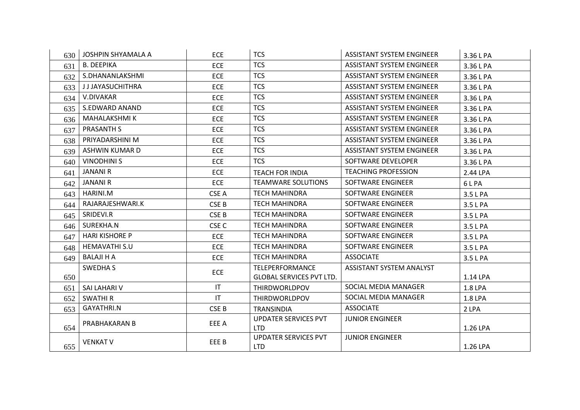| 630 | <b>JOSHPIN SHYAMALA A</b> | <b>ECE</b>       | <b>TCS</b>                      | <b>ASSISTANT SYSTEM ENGINEER</b> | 3.36 L PA |
|-----|---------------------------|------------------|---------------------------------|----------------------------------|-----------|
| 631 | <b>B. DEEPIKA</b>         | <b>ECE</b>       | <b>TCS</b>                      | <b>ASSISTANT SYSTEM ENGINEER</b> | 3.36 L PA |
| 632 | S.DHANANLAKSHMI           | <b>ECE</b>       | <b>TCS</b>                      | <b>ASSISTANT SYSTEM ENGINEER</b> | 3.36 L PA |
| 633 | <b>JJJAYASUCHITHRA</b>    | <b>ECE</b>       | <b>TCS</b>                      | <b>ASSISTANT SYSTEM ENGINEER</b> | 3.36 L PA |
| 634 | V.DIVAKAR                 | <b>ECE</b>       | <b>TCS</b>                      | <b>ASSISTANT SYSTEM ENGINEER</b> | 3.36 L PA |
| 635 | S.EDWARD ANAND            | <b>ECE</b>       | <b>TCS</b>                      | <b>ASSISTANT SYSTEM ENGINEER</b> | 3.36 L PA |
| 636 | MAHALAKSHMI K             | <b>ECE</b>       | <b>TCS</b>                      | <b>ASSISTANT SYSTEM ENGINEER</b> | 3.36 L PA |
| 637 | <b>PRASANTH S</b>         | <b>ECE</b>       | <b>TCS</b>                      | <b>ASSISTANT SYSTEM ENGINEER</b> | 3.36 L PA |
| 638 | PRIYADARSHINI M           | <b>ECE</b>       | <b>TCS</b>                      | <b>ASSISTANT SYSTEM ENGINEER</b> | 3.36 L PA |
| 639 | ASHWIN KUMAR D            | <b>ECE</b>       | <b>TCS</b>                      | <b>ASSISTANT SYSTEM ENGINEER</b> | 3.36 L PA |
| 640 | <b>VINODHINI S</b>        | <b>ECE</b>       | <b>TCS</b>                      | SOFTWARE DEVELOPER               | 3.36 L PA |
| 641 | <b>JANANI R</b>           | <b>ECE</b>       | <b>TEACH FOR INDIA</b>          | <b>TEACHING PROFESSION</b>       | 2.44 LPA  |
| 642 | <b>JANANI R</b>           | <b>ECE</b>       | <b>TEAMWARE SOLUTIONS</b>       | SOFTWARE ENGINEER                | 6LPA      |
| 643 | HARINI.M                  | CSE A            | <b>TECH MAHINDRA</b>            | SOFTWARE ENGINEER                | 3.5 L PA  |
| 644 | RAJARAJESHWARI.K          | CSE B            | <b>TECH MAHINDRA</b>            | SOFTWARE ENGINEER                | 3.5 L PA  |
| 645 | SRIDEVI.R                 | CSE B            | <b>TECH MAHINDRA</b>            | SOFTWARE ENGINEER                | 3.5 L PA  |
| 646 | SUREKHA.N                 | CSE <sub>C</sub> | <b>TECH MAHINDRA</b>            | SOFTWARE ENGINEER                | 3.5 L PA  |
| 647 | <b>HARI KISHORE P</b>     | <b>ECE</b>       | <b>TECH MAHINDRA</b>            | SOFTWARE ENGINEER                | 3.5 L PA  |
| 648 | HEMAVATHI S.U             | <b>ECE</b>       | <b>TECH MAHINDRA</b>            | SOFTWARE ENGINEER                | 3.5 L PA  |
| 649 | <b>BALAJI H A</b>         | <b>ECE</b>       | <b>TECH MAHINDRA</b>            | <b>ASSOCIATE</b>                 | 3.5 L PA  |
|     | SWEDHA S                  | <b>ECE</b>       | <b>TELEPERFORMANCE</b>          | ASSISTANT SYSTEM ANALYST         |           |
| 650 |                           |                  | <b>GLOBAL SERVICES PVT LTD.</b> |                                  | 1.14 LPA  |
| 651 | SAI LAHARI V              | IT               | <b>THIRDWORLDPOV</b>            | SOCIAL MEDIA MANAGER             | 1.8 LPA   |
| 652 | <b>SWATHIR</b>            | IT               | <b>THIRDWORLDPOV</b>            | SOCIAL MEDIA MANAGER             | 1.8 LPA   |
| 653 | <b>GAYATHRI.N</b>         | CSE <sub>B</sub> | <b>TRANSINDIA</b>               | <b>ASSOCIATE</b>                 | 2 LPA     |
|     | PRABHAKARAN B             | EEE A            | <b>UPDATER SERVICES PVT</b>     | <b>JUNIOR ENGINEER</b>           |           |
| 654 |                           |                  | <b>LTD</b>                      |                                  | 1.26 LPA  |
|     | <b>VENKAT V</b>           | EEE B            | <b>UPDATER SERVICES PVT</b>     | <b>JUNIOR ENGINEER</b>           |           |
| 655 |                           |                  | <b>LTD</b>                      |                                  | 1.26 LPA  |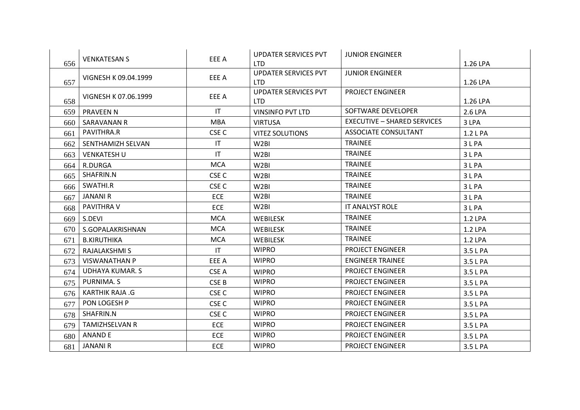|     | <b>VENKATESAN S</b>    | EEE A                  | <b>UPDATER SERVICES PVT</b> | <b>JUNIOR ENGINEER</b>             |          |
|-----|------------------------|------------------------|-----------------------------|------------------------------------|----------|
| 656 |                        |                        | <b>LTD</b>                  |                                    | 1.26 LPA |
|     | VIGNESH K 09.04.1999   | EEE A                  | UPDATER SERVICES PVT        | <b>JUNIOR ENGINEER</b>             |          |
| 657 |                        |                        | <b>LTD</b>                  |                                    | 1.26 LPA |
|     | VIGNESH K 07.06.1999   | EEE A                  | UPDATER SERVICES PVT        | <b>PROJECT ENGINEER</b>            |          |
| 658 |                        |                        | <b>LTD</b>                  |                                    | 1.26 LPA |
| 659 | <b>PRAVEEN N</b>       | $\mathsf{I}\mathsf{T}$ | <b>VINSINFO PVT LTD</b>     | SOFTWARE DEVELOPER                 | 2.6 LPA  |
| 660 | SARAVANAN R            | <b>MBA</b>             | <b>VIRTUSA</b>              | <b>EXECUTIVE - SHARED SERVICES</b> | 3 LPA    |
| 661 | PAVITHRA.R             | CSE <sub>C</sub>       | <b>VITEZ SOLUTIONS</b>      | <b>ASSOCIATE CONSULTANT</b>        | 1.2 L PA |
| 662 | SENTHAMIZH SELVAN      | IT                     | W <sub>2</sub> BI           | <b>TRAINEE</b>                     | 3 L PA   |
| 663 | <b>VENKATESH U</b>     | IT                     | W <sub>2</sub> BI           | <b>TRAINEE</b>                     | 3 L PA   |
| 664 | R.DURGA                | <b>MCA</b>             | W <sub>2</sub> BI           | <b>TRAINEE</b>                     | 3 L PA   |
| 665 | SHAFRIN.N              | CSE <sub>C</sub>       | W <sub>2</sub> BI           | <b>TRAINEE</b>                     | 3 L PA   |
| 666 | SWATHI.R               | CSE <sub>C</sub>       | W <sub>2</sub> BI           | <b>TRAINEE</b>                     | 3 L PA   |
| 667 | <b>JANANI R</b>        | <b>ECE</b>             | W <sub>2</sub> BI           | <b>TRAINEE</b>                     | 3 L PA   |
| 668 | PAVITHRA V             | <b>ECE</b>             | W <sub>2</sub> BI           | IT ANALYST ROLE                    | 3 L PA   |
| 669 | S.DEVI                 | <b>MCA</b>             | <b>WEBILESK</b>             | <b>TRAINEE</b>                     | 1.2 LPA  |
| 670 | S.GOPALAKRISHNAN       | <b>MCA</b>             | <b>WEBILESK</b>             | <b>TRAINEE</b>                     | 1.2 LPA  |
| 671 | <b>B.KIRUTHIKA</b>     | <b>MCA</b>             | <b>WEBILESK</b>             | <b>TRAINEE</b>                     | 1.2 LPA  |
| 672 | RAJALAKSHMI S          | $\mathsf{I}\mathsf{T}$ | <b>WIPRO</b>                | <b>PROJECT ENGINEER</b>            | 3.5 L PA |
| 673 | <b>VISWANATHAN P</b>   | EEE A                  | <b>WIPRO</b>                | <b>ENGINEER TRAINEE</b>            | 3.5 L PA |
| 674 | <b>UDHAYA KUMAR. S</b> | CSE A                  | <b>WIPRO</b>                | <b>PROJECT ENGINEER</b>            | 3.5 L PA |
| 675 | PURNIMA. S             | CSE B                  | <b>WIPRO</b>                | PROJECT ENGINEER                   | 3.5 L PA |
| 676 | <b>KARTHIK RAJA .G</b> | CSE <sub>C</sub>       | <b>WIPRO</b>                | <b>PROJECT ENGINEER</b>            | 3.5 L PA |
| 677 | PON LOGESH P           | CSE <sub>C</sub>       | <b>WIPRO</b>                | <b>PROJECT ENGINEER</b>            | 3.5 L PA |
| 678 | SHAFRIN.N              | CSE <sub>C</sub>       | <b>WIPRO</b>                | <b>PROJECT ENGINEER</b>            | 3.5 L PA |
| 679 | <b>TAMIZHSELVAN R</b>  | <b>ECE</b>             | <b>WIPRO</b>                | <b>PROJECT ENGINEER</b>            | 3.5 L PA |
| 680 | <b>ANAND E</b>         | <b>ECE</b>             | <b>WIPRO</b>                | <b>PROJECT ENGINEER</b>            | 3.5 L PA |
| 681 | <b>JANANI R</b>        | <b>ECE</b>             | <b>WIPRO</b>                | <b>PROJECT ENGINEER</b>            | 3.5 L PA |